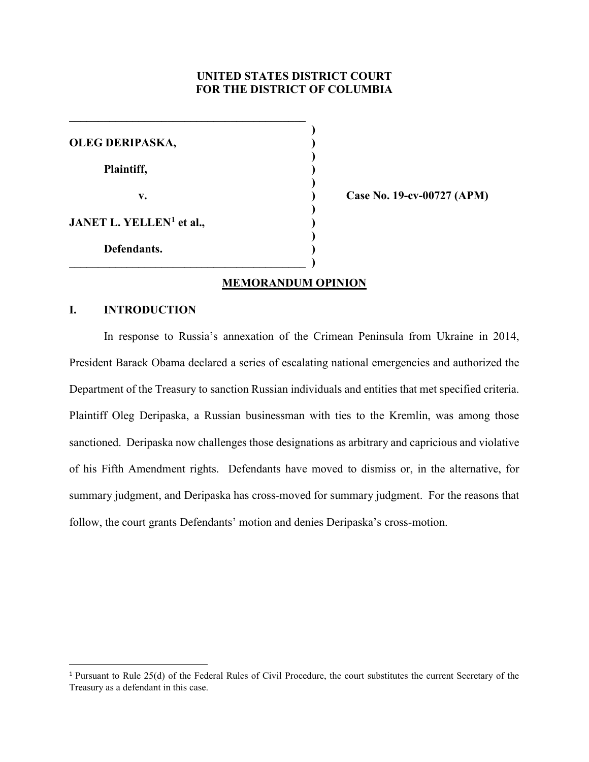# **UNITED STATES DISTRICT COURT FOR THE DISTRICT OF COLUMBIA**

**)**

| OLEG DERIPASKA,                      |  |
|--------------------------------------|--|
| Plaintiff,                           |  |
| $\mathbf{v}$ .                       |  |
| JANET L. YELLEN <sup>1</sup> et al., |  |
| Defendants.                          |  |
|                                      |  |

**\_\_\_\_\_\_\_\_\_\_\_\_\_\_\_\_\_\_\_\_\_\_\_\_\_\_\_\_\_\_\_\_\_\_\_\_\_\_\_\_\_** 

**v. ) Case No. 19-cv-00727 (APM)**

# **MEMORANDUM OPINION**

# **I. INTRODUCTION**

In response to Russia's annexation of the Crimean Peninsula from Ukraine in 2014, President Barack Obama declared a series of escalating national emergencies and authorized the Department of the Treasury to sanction Russian individuals and entities that met specified criteria. Plaintiff Oleg Deripaska, a Russian businessman with ties to the Kremlin, was among those sanctioned. Deripaska now challenges those designations as arbitrary and capricious and violative of his Fifth Amendment rights. Defendants have moved to dismiss or, in the alternative, for summary judgment, and Deripaska has cross-moved for summary judgment. For the reasons that follow, the court grants Defendants' motion and denies Deripaska's cross-motion.

<sup>&</sup>lt;sup>1</sup> Pursuant to Rule 25(d) of the Federal Rules of Civil Procedure, the court substitutes the current Secretary of the Treasury as a defendant in this case.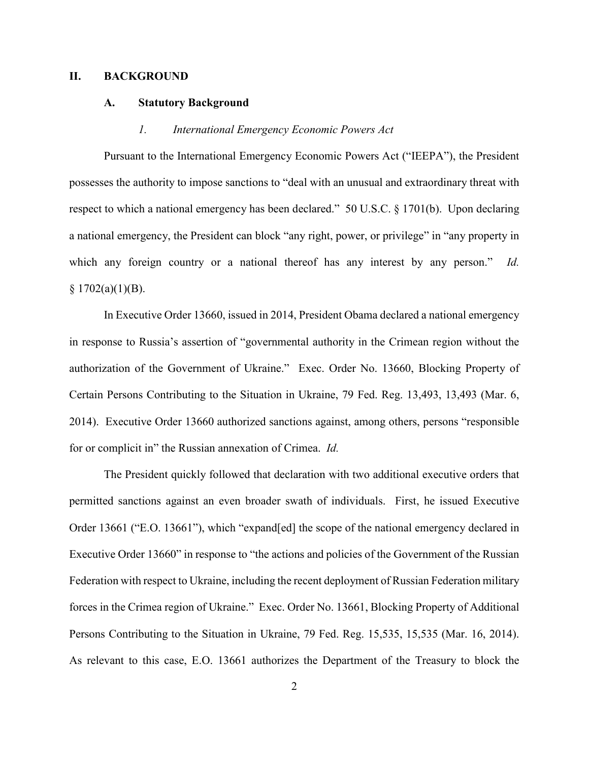### **II. BACKGROUND**

### **A. Statutory Background**

# *1. International Emergency Economic Powers Act*

Pursuant to the International Emergency Economic Powers Act ("IEEPA"), the President possesses the authority to impose sanctions to "deal with an unusual and extraordinary threat with respect to which a national emergency has been declared." 50 U.S.C. § 1701(b). Upon declaring a national emergency, the President can block "any right, power, or privilege" in "any property in which any foreign country or a national thereof has any interest by any person." *Id.*  $§ 1702(a)(1)(B).$ 

In Executive Order 13660, issued in 2014, President Obama declared a national emergency in response to Russia's assertion of "governmental authority in the Crimean region without the authorization of the Government of Ukraine." Exec. Order No. 13660, Blocking Property of Certain Persons Contributing to the Situation in Ukraine, 79 Fed. Reg. 13,493, 13,493 (Mar. 6, 2014). Executive Order 13660 authorized sanctions against, among others, persons "responsible for or complicit in" the Russian annexation of Crimea. *Id.* 

The President quickly followed that declaration with two additional executive orders that permitted sanctions against an even broader swath of individuals. First, he issued Executive Order 13661 ("E.O. 13661"), which "expand[ed] the scope of the national emergency declared in Executive Order 13660" in response to "the actions and policies of the Government of the Russian Federation with respect to Ukraine, including the recent deployment of Russian Federation military forces in the Crimea region of Ukraine." Exec. Order No. 13661, Blocking Property of Additional Persons Contributing to the Situation in Ukraine, 79 Fed. Reg. 15,535, 15,535 (Mar. 16, 2014). As relevant to this case, E.O. 13661 authorizes the Department of the Treasury to block the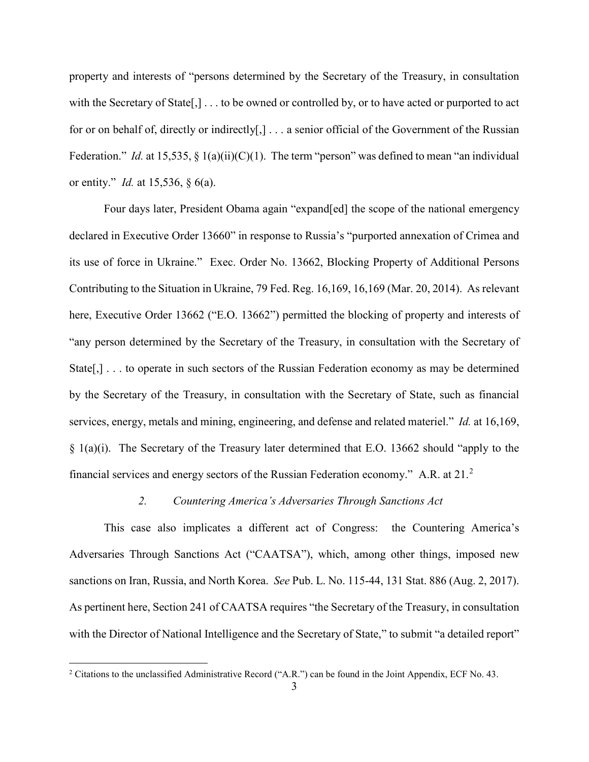property and interests of "persons determined by the Secretary of the Treasury, in consultation with the Secretary of State[,] . . . to be owned or controlled by, or to have acted or purported to act for or on behalf of, directly or indirectly[,] . . . a senior official of the Government of the Russian Federation." *Id.* at 15,535, § 1(a)(ii)(C)(1). The term "person" was defined to mean "an individual or entity." *Id.* at 15,536, § 6(a).

Four days later, President Obama again "expand[ed] the scope of the national emergency declared in Executive Order 13660" in response to Russia's "purported annexation of Crimea and its use of force in Ukraine." Exec. Order No. 13662, Blocking Property of Additional Persons Contributing to the Situation in Ukraine, 79 Fed. Reg. 16,169, 16,169 (Mar. 20, 2014). As relevant here, Executive Order 13662 ("E.O. 13662") permitted the blocking of property and interests of "any person determined by the Secretary of the Treasury, in consultation with the Secretary of State[,] . . . to operate in such sectors of the Russian Federation economy as may be determined by the Secretary of the Treasury, in consultation with the Secretary of State, such as financial services, energy, metals and mining, engineering, and defense and related materiel." *Id.* at 16,169, § 1(a)(i). The Secretary of the Treasury later determined that E.O. 13662 should "apply to the financial services and energy sectors of the Russian Federation economy." A.R. at  $21.^2$ 

# *2. Countering America's Adversaries Through Sanctions Act*

This case also implicates a different act of Congress: the Countering America's Adversaries Through Sanctions Act ("CAATSA"), which, among other things, imposed new sanctions on Iran, Russia, and North Korea. *See* Pub. L. No. 115-44, 131 Stat. 886 (Aug. 2, 2017). As pertinent here, Section 241 of CAATSA requires "the Secretary of the Treasury, in consultation with the Director of National Intelligence and the Secretary of State," to submit "a detailed report"

 $\overline{\phantom{a}}$ 

<sup>&</sup>lt;sup>2</sup> Citations to the unclassified Administrative Record ("A.R.") can be found in the Joint Appendix, ECF No. 43.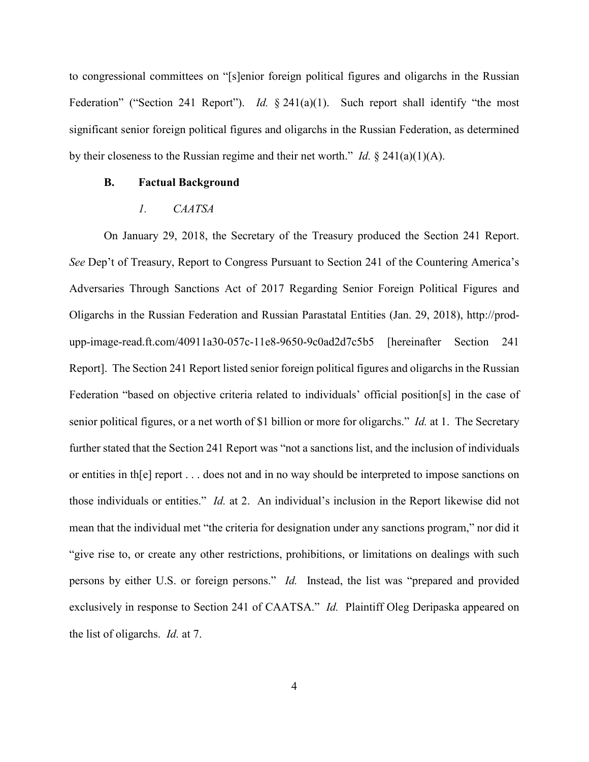to congressional committees on "[s]enior foreign political figures and oligarchs in the Russian Federation" ("Section 241 Report"). *Id.* § 241(a)(1). Such report shall identify "the most significant senior foreign political figures and oligarchs in the Russian Federation, as determined by their closeness to the Russian regime and their net worth." *Id.* § 241(a)(1)(A).

# **B. Factual Background**

# *1. CAATSA*

On January 29, 2018, the Secretary of the Treasury produced the Section 241 Report. *See* Dep't of Treasury, Report to Congress Pursuant to Section 241 of the Countering America's Adversaries Through Sanctions Act of 2017 Regarding Senior Foreign Political Figures and Oligarchs in the Russian Federation and Russian Parastatal Entities (Jan. 29, 2018), http://produpp-image-read.ft.com/40911a30-057c-11e8-9650-9c0ad2d7c5b5 [hereinafter Section 241 Report]. The Section 241 Report listed senior foreign political figures and oligarchs in the Russian Federation "based on objective criteria related to individuals' official position[s] in the case of senior political figures, or a net worth of \$1 billion or more for oligarchs." *Id.* at 1. The Secretary further stated that the Section 241 Report was "not a sanctions list, and the inclusion of individuals or entities in th[e] report . . . does not and in no way should be interpreted to impose sanctions on those individuals or entities." *Id.* at 2. An individual's inclusion in the Report likewise did not mean that the individual met "the criteria for designation under any sanctions program," nor did it "give rise to, or create any other restrictions, prohibitions, or limitations on dealings with such persons by either U.S. or foreign persons." *Id.* Instead, the list was "prepared and provided exclusively in response to Section 241 of CAATSA." *Id.* Plaintiff Oleg Deripaska appeared on the list of oligarchs. *Id.* at 7.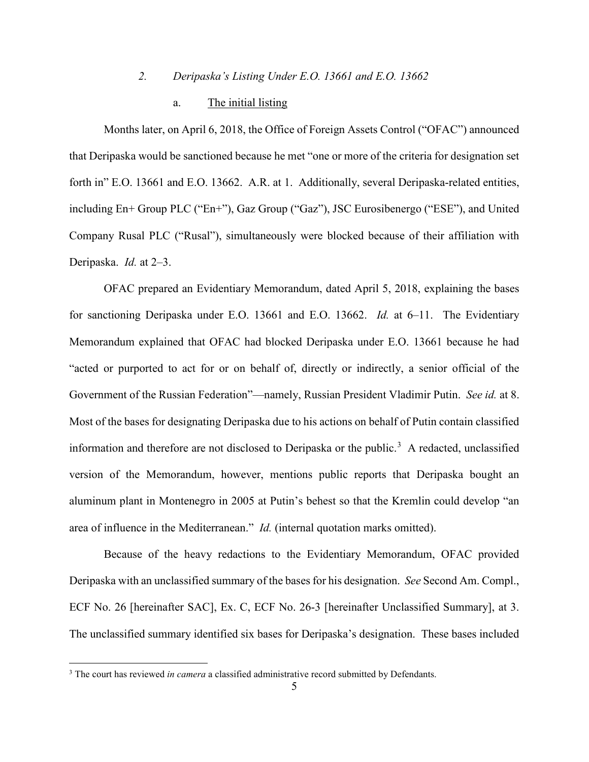# *2. Deripaska's Listing Under E.O. 13661 and E.O. 13662*

# a. The initial listing

Months later, on April 6, 2018, the Office of Foreign Assets Control ("OFAC") announced that Deripaska would be sanctioned because he met "one or more of the criteria for designation set forth in" E.O. 13661 and E.O. 13662. A.R. at 1. Additionally, several Deripaska-related entities, including En+ Group PLC ("En+"), Gaz Group ("Gaz"), JSC Eurosibenergo ("ESE"), and United Company Rusal PLC ("Rusal"), simultaneously were blocked because of their affiliation with Deripaska. *Id.* at 2–3.

OFAC prepared an Evidentiary Memorandum, dated April 5, 2018, explaining the bases for sanctioning Deripaska under E.O. 13661 and E.O. 13662. *Id.* at 6–11. The Evidentiary Memorandum explained that OFAC had blocked Deripaska under E.O. 13661 because he had "acted or purported to act for or on behalf of, directly or indirectly, a senior official of the Government of the Russian Federation"—namely, Russian President Vladimir Putin. *See id.* at 8. Most of the bases for designating Deripaska due to his actions on behalf of Putin contain classified information and therefore are not disclosed to Deripaska or the public. <sup>3</sup> A redacted, unclassified version of the Memorandum, however, mentions public reports that Deripaska bought an aluminum plant in Montenegro in 2005 at Putin's behest so that the Kremlin could develop "an area of influence in the Mediterranean." *Id.* (internal quotation marks omitted).

Because of the heavy redactions to the Evidentiary Memorandum, OFAC provided Deripaska with an unclassified summary of the bases for his designation. *See* Second Am. Compl., ECF No. 26 [hereinafter SAC], Ex. C, ECF No. 26-3 [hereinafter Unclassified Summary], at 3. The unclassified summary identified six bases for Deripaska's designation. These bases included

 $\overline{\phantom{a}}$ 

<sup>&</sup>lt;sup>3</sup> The court has reviewed *in camera* a classified administrative record submitted by Defendants.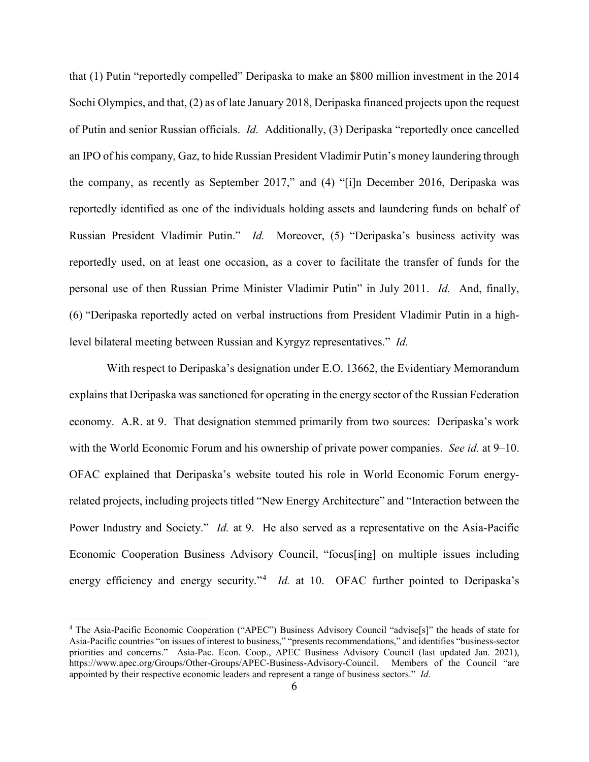that (1) Putin "reportedly compelled" Deripaska to make an \$800 million investment in the 2014 Sochi Olympics, and that, (2) as of late January 2018, Deripaska financed projects upon the request of Putin and senior Russian officials. *Id.* Additionally, (3) Deripaska "reportedly once cancelled an IPO of his company, Gaz, to hide Russian President Vladimir Putin's money laundering through the company, as recently as September 2017," and (4) "[i]n December 2016, Deripaska was reportedly identified as one of the individuals holding assets and laundering funds on behalf of Russian President Vladimir Putin." *Id.* Moreover, (5) "Deripaska's business activity was reportedly used, on at least one occasion, as a cover to facilitate the transfer of funds for the personal use of then Russian Prime Minister Vladimir Putin" in July 2011. *Id.* And, finally, (6) "Deripaska reportedly acted on verbal instructions from President Vladimir Putin in a highlevel bilateral meeting between Russian and Kyrgyz representatives." *Id.* 

With respect to Deripaska's designation under E.O. 13662, the Evidentiary Memorandum explains that Deripaska was sanctioned for operating in the energy sector of the Russian Federation economy. A.R. at 9. That designation stemmed primarily from two sources: Deripaska's work with the World Economic Forum and his ownership of private power companies. *See id.* at 9–10. OFAC explained that Deripaska's website touted his role in World Economic Forum energyrelated projects, including projects titled "New Energy Architecture" and "Interaction between the Power Industry and Society." *Id.* at 9. He also served as a representative on the Asia-Pacific Economic Cooperation Business Advisory Council, "focus[ing] on multiple issues including energy efficiency and energy security."<sup>4</sup> *Id.* at 10. OFAC further pointed to Deripaska's

l

<sup>&</sup>lt;sup>4</sup> The Asia-Pacific Economic Cooperation ("APEC") Business Advisory Council "advise<sup>[s]"</sup> the heads of state for Asia-Pacific countries "on issues of interest to business," "presents recommendations," and identifies "business-sector priorities and concerns." Asia-Pac. Econ. Coop., APEC Business Advisory Council (last updated Jan. 2021), https://www.apec.org/Groups/Other-Groups/APEC-Business-Advisory-Council. Members of the Council "are appointed by their respective economic leaders and represent a range of business sectors." *Id.*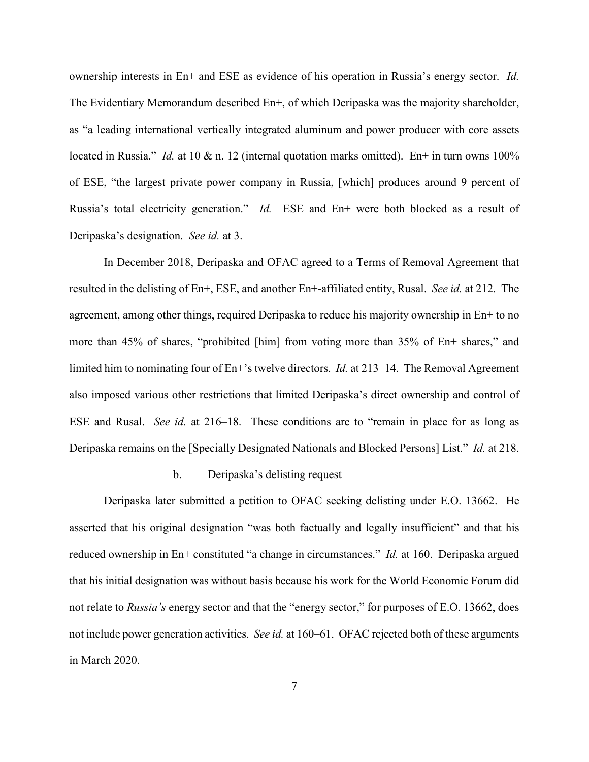ownership interests in En+ and ESE as evidence of his operation in Russia's energy sector. *Id.*  The Evidentiary Memorandum described En+, of which Deripaska was the majority shareholder, as "a leading international vertically integrated aluminum and power producer with core assets located in Russia." *Id.* at 10 & n. 12 (internal quotation marks omitted). En+ in turn owns 100% of ESE, "the largest private power company in Russia, [which] produces around 9 percent of Russia's total electricity generation." *Id.* ESE and En+ were both blocked as a result of Deripaska's designation. *See id.* at 3.

In December 2018, Deripaska and OFAC agreed to a Terms of Removal Agreement that resulted in the delisting of En+, ESE, and another En+-affiliated entity, Rusal. *See id.* at 212. The agreement, among other things, required Deripaska to reduce his majority ownership in En+ to no more than 45% of shares, "prohibited [him] from voting more than 35% of En+ shares," and limited him to nominating four of En+'s twelve directors. *Id.* at 213–14. The Removal Agreement also imposed various other restrictions that limited Deripaska's direct ownership and control of ESE and Rusal. *See id.* at 216–18. These conditions are to "remain in place for as long as Deripaska remains on the [Specially Designated Nationals and Blocked Persons] List." *Id.* at 218.

#### b. Deripaska's delisting request

Deripaska later submitted a petition to OFAC seeking delisting under E.O. 13662. He asserted that his original designation "was both factually and legally insufficient" and that his reduced ownership in En+ constituted "a change in circumstances." *Id.* at 160. Deripaska argued that his initial designation was without basis because his work for the World Economic Forum did not relate to *Russia's* energy sector and that the "energy sector," for purposes of E.O. 13662, does not include power generation activities. *See id.* at 160–61. OFAC rejected both of these arguments in March 2020.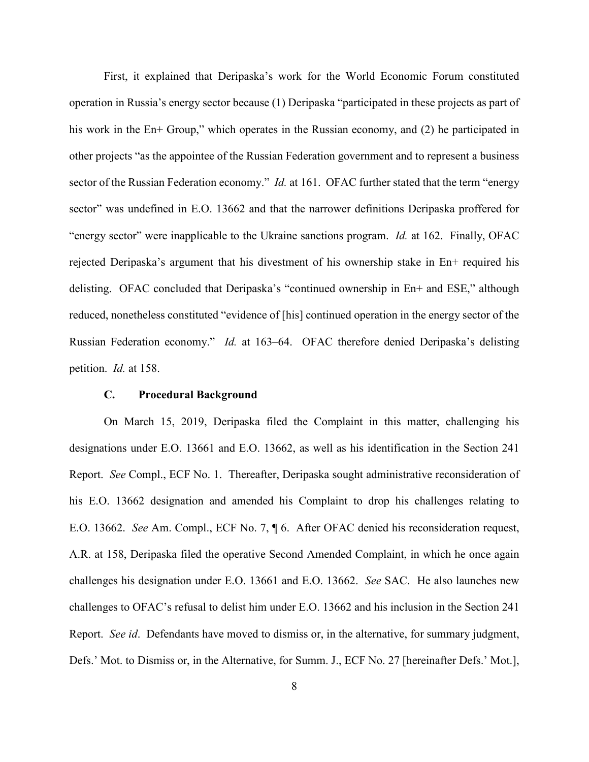First, it explained that Deripaska's work for the World Economic Forum constituted operation in Russia's energy sector because (1) Deripaska "participated in these projects as part of his work in the En+ Group," which operates in the Russian economy, and (2) he participated in other projects "as the appointee of the Russian Federation government and to represent a business sector of the Russian Federation economy." *Id.* at 161. OFAC further stated that the term "energy sector" was undefined in E.O. 13662 and that the narrower definitions Deripaska proffered for "energy sector" were inapplicable to the Ukraine sanctions program. *Id.* at 162. Finally, OFAC rejected Deripaska's argument that his divestment of his ownership stake in En+ required his delisting. OFAC concluded that Deripaska's "continued ownership in En+ and ESE," although reduced, nonetheless constituted "evidence of [his] continued operation in the energy sector of the Russian Federation economy." *Id.* at 163–64. OFAC therefore denied Deripaska's delisting petition. *Id.* at 158.

# **C. Procedural Background**

On March 15, 2019, Deripaska filed the Complaint in this matter, challenging his designations under E.O. 13661 and E.O. 13662, as well as his identification in the Section 241 Report. *See* Compl., ECF No. 1. Thereafter, Deripaska sought administrative reconsideration of his E.O. 13662 designation and amended his Complaint to drop his challenges relating to E.O. 13662. *See* Am. Compl., ECF No. 7, ¶ 6. After OFAC denied his reconsideration request, A.R. at 158, Deripaska filed the operative Second Amended Complaint, in which he once again challenges his designation under E.O. 13661 and E.O. 13662. *See* SAC. He also launches new challenges to OFAC's refusal to delist him under E.O. 13662 and his inclusion in the Section 241 Report. *See id*. Defendants have moved to dismiss or, in the alternative, for summary judgment, Defs.' Mot. to Dismiss or, in the Alternative, for Summ. J., ECF No. 27 [hereinafter Defs.' Mot.],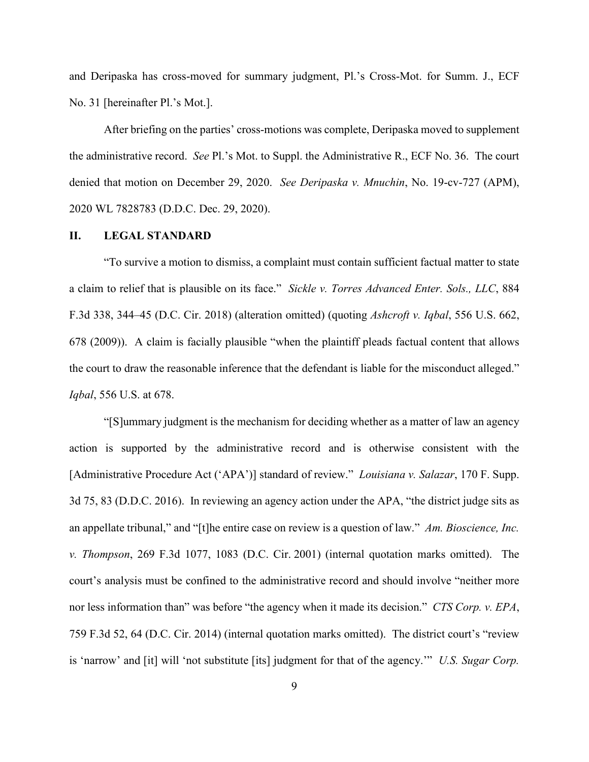and Deripaska has cross-moved for summary judgment, Pl.'s Cross-Mot. for Summ. J., ECF No. 31 [hereinafter Pl.'s Mot.].

After briefing on the parties' cross-motions was complete, Deripaska moved to supplement the administrative record. *See* Pl.'s Mot. to Suppl. the Administrative R., ECF No. 36. The court denied that motion on December 29, 2020. *See Deripaska v. Mnuchin*, No. 19-cv-727 (APM), 2020 WL 7828783 (D.D.C. Dec. 29, 2020).

# **II. LEGAL STANDARD**

"To survive a motion to dismiss, a complaint must contain sufficient factual matter to state a claim to relief that is plausible on its face." *Sickle v. Torres Advanced Enter. Sols., LLC*, 884 F.3d 338, 344–45 (D.C. Cir. 2018) (alteration omitted) (quoting *Ashcroft v. Iqbal*, 556 U.S. 662, 678 (2009)). A claim is facially plausible "when the plaintiff pleads factual content that allows the court to draw the reasonable inference that the defendant is liable for the misconduct alleged." *Iqbal*, 556 U.S. at 678.

"[S]ummary judgment is the mechanism for deciding whether as a matter of law an agency action is supported by the administrative record and is otherwise consistent with the [Administrative Procedure Act ('APA')] standard of review." *Louisiana v. Salazar*, 170 F. Supp. 3d 75, 83 (D.D.C. 2016). In reviewing an agency action under the APA, "the district judge sits as an appellate tribunal," and "[t]he entire case on review is a question of law." *Am. Bioscience, Inc. v. Thompson*, 269 F.3d 1077, 1083 (D.C. Cir. 2001) (internal quotation marks omitted). The court's analysis must be confined to the administrative record and should involve "neither more nor less information than" was before "the agency when it made its decision." *CTS Corp. v. EPA*, 759 F.3d 52, 64 (D.C. Cir. 2014) (internal quotation marks omitted). The district court's "review is 'narrow' and [it] will 'not substitute [its] judgment for that of the agency.'" *U.S. Sugar Corp.*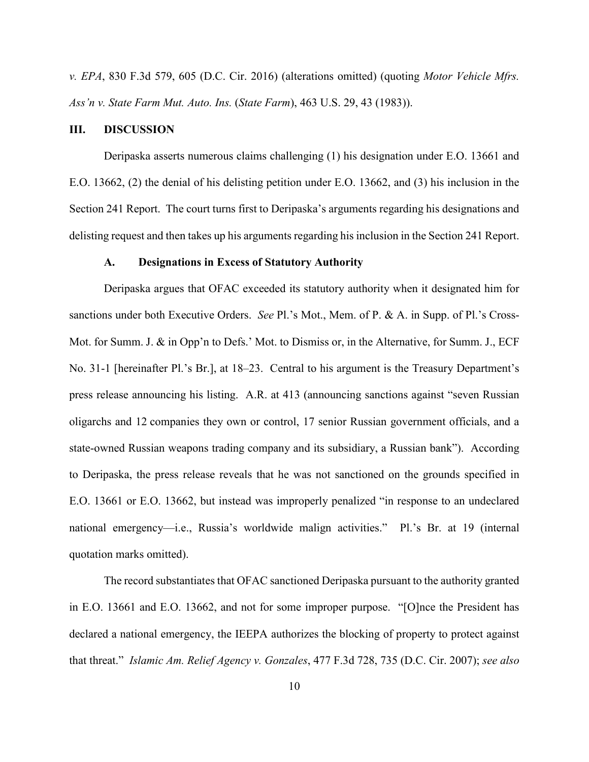*v. EPA*, 830 F.3d 579, 605 (D.C. Cir. 2016) (alterations omitted) (quoting *Motor Vehicle Mfrs. Ass'n v. State Farm Mut. Auto. Ins.* (*State Farm*), 463 U.S. 29, 43 (1983)).

### **III. DISCUSSION**

Deripaska asserts numerous claims challenging (1) his designation under E.O. 13661 and E.O. 13662, (2) the denial of his delisting petition under E.O. 13662, and (3) his inclusion in the Section 241 Report. The court turns first to Deripaska's arguments regarding his designations and delisting request and then takes up his arguments regarding his inclusion in the Section 241 Report.

#### **A. Designations in Excess of Statutory Authority**

Deripaska argues that OFAC exceeded its statutory authority when it designated him for sanctions under both Executive Orders. *See* Pl.'s Mot., Mem. of P. & A. in Supp. of Pl.'s Cross-Mot. for Summ. J. & in Opp'n to Defs.' Mot. to Dismiss or, in the Alternative, for Summ. J., ECF No. 31-1 [hereinafter Pl.'s Br.], at 18–23. Central to his argument is the Treasury Department's press release announcing his listing. A.R. at 413 (announcing sanctions against "seven Russian oligarchs and 12 companies they own or control, 17 senior Russian government officials, and a state-owned Russian weapons trading company and its subsidiary, a Russian bank"). According to Deripaska, the press release reveals that he was not sanctioned on the grounds specified in E.O. 13661 or E.O. 13662, but instead was improperly penalized "in response to an undeclared national emergency—i.e., Russia's worldwide malign activities." Pl.'s Br. at 19 (internal quotation marks omitted).

The record substantiates that OFAC sanctioned Deripaska pursuant to the authority granted in E.O. 13661 and E.O. 13662, and not for some improper purpose. "[O]nce the President has declared a national emergency, the IEEPA authorizes the blocking of property to protect against that threat." *Islamic Am. Relief Agency v. Gonzales*, 477 F.3d 728, 735 (D.C. Cir. 2007); *see also*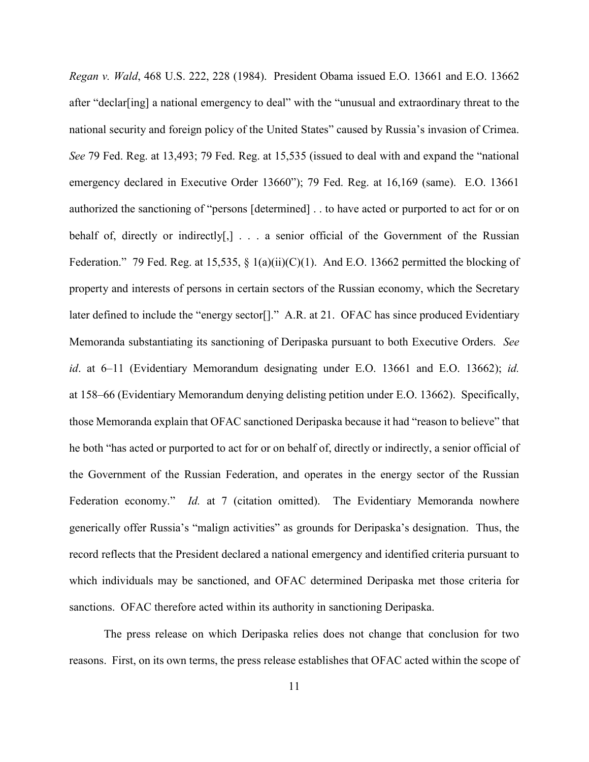*Regan v. Wald*, 468 U.S. 222, 228 (1984). President Obama issued E.O. 13661 and E.O. 13662 after "declar[ing] a national emergency to deal" with the "unusual and extraordinary threat to the national security and foreign policy of the United States" caused by Russia's invasion of Crimea. *See* 79 Fed. Reg. at 13,493; 79 Fed. Reg. at 15,535 (issued to deal with and expand the "national emergency declared in Executive Order 13660"); 79 Fed. Reg. at 16,169 (same). E.O. 13661 authorized the sanctioning of "persons [determined] . . to have acted or purported to act for or on behalf of, directly or indirectly[,] . . . a senior official of the Government of the Russian Federation." 79 Fed. Reg. at 15,535,  $\S$  1(a)(ii)(C)(1). And E.O. 13662 permitted the blocking of property and interests of persons in certain sectors of the Russian economy, which the Secretary later defined to include the "energy sector<sup>[]</sup>." A.R. at 21. OFAC has since produced Evidentiary Memoranda substantiating its sanctioning of Deripaska pursuant to both Executive Orders. *See id*. at 6–11 (Evidentiary Memorandum designating under E.O. 13661 and E.O. 13662); *id.*  at 158–66 (Evidentiary Memorandum denying delisting petition under E.O. 13662). Specifically, those Memoranda explain that OFAC sanctioned Deripaska because it had "reason to believe" that he both "has acted or purported to act for or on behalf of, directly or indirectly, a senior official of the Government of the Russian Federation, and operates in the energy sector of the Russian Federation economy." *Id.* at 7 (citation omitted). The Evidentiary Memoranda nowhere generically offer Russia's "malign activities" as grounds for Deripaska's designation. Thus, the record reflects that the President declared a national emergency and identified criteria pursuant to which individuals may be sanctioned, and OFAC determined Deripaska met those criteria for sanctions. OFAC therefore acted within its authority in sanctioning Deripaska.

The press release on which Deripaska relies does not change that conclusion for two reasons. First, on its own terms, the press release establishes that OFAC acted within the scope of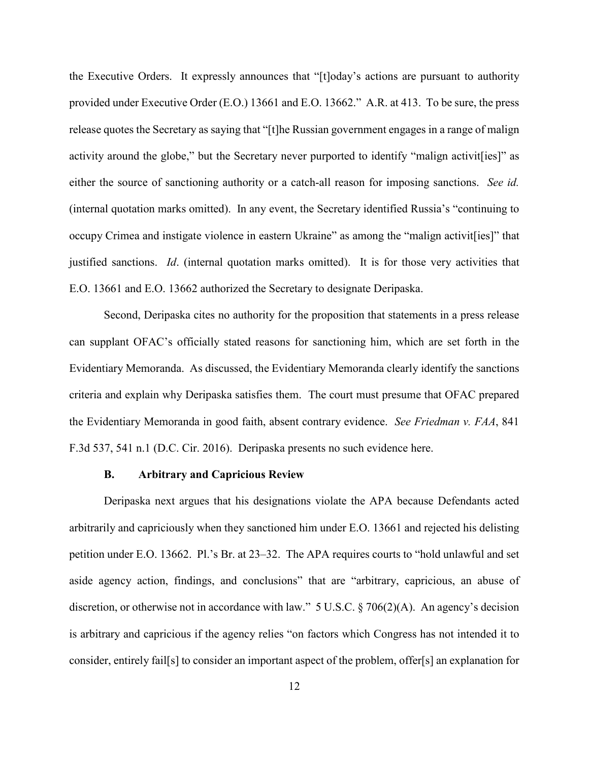the Executive Orders. It expressly announces that "[t]oday's actions are pursuant to authority provided under Executive Order (E.O.) 13661 and E.O. 13662." A.R. at 413. To be sure, the press release quotes the Secretary as saying that "[t]he Russian government engages in a range of malign activity around the globe," but the Secretary never purported to identify "malign activit [ies]" as either the source of sanctioning authority or a catch-all reason for imposing sanctions. *See id.* (internal quotation marks omitted).In any event, the Secretary identified Russia's "continuing to occupy Crimea and instigate violence in eastern Ukraine" as among the "malign activit[ies]" that justified sanctions. *Id*. (internal quotation marks omitted). It is for those very activities that E.O. 13661 and E.O. 13662 authorized the Secretary to designate Deripaska.

Second, Deripaska cites no authority for the proposition that statements in a press release can supplant OFAC's officially stated reasons for sanctioning him, which are set forth in the Evidentiary Memoranda. As discussed, the Evidentiary Memoranda clearly identify the sanctions criteria and explain why Deripaska satisfies them. The court must presume that OFAC prepared the Evidentiary Memoranda in good faith, absent contrary evidence. *See Friedman v. FAA*, 841 F.3d 537, 541 n.1 (D.C. Cir. 2016). Deripaska presents no such evidence here.

#### **B. Arbitrary and Capricious Review**

Deripaska next argues that his designations violate the APA because Defendants acted arbitrarily and capriciously when they sanctioned him under E.O. 13661 and rejected his delisting petition under E.O. 13662. Pl.'s Br. at 23–32. The APA requires courts to "hold unlawful and set aside agency action, findings, and conclusions" that are "arbitrary, capricious, an abuse of discretion, or otherwise not in accordance with law." 5 U.S.C. § 706(2)(A). An agency's decision is arbitrary and capricious if the agency relies "on factors which Congress has not intended it to consider, entirely fail[s] to consider an important aspect of the problem, offer[s] an explanation for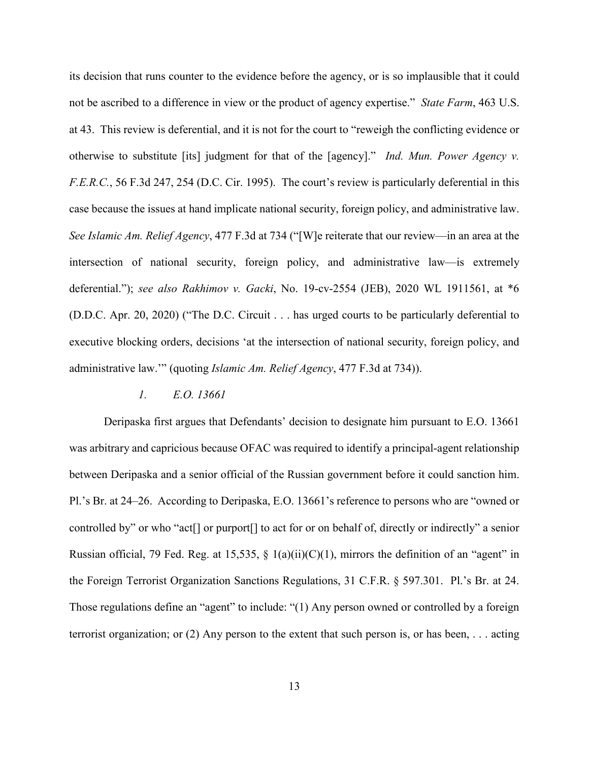its decision that runs counter to the evidence before the agency, or is so implausible that it could not be ascribed to a difference in view or the product of agency expertise." *State Farm*, 463 U.S. at 43. This review is deferential, and it is not for the court to "reweigh the conflicting evidence or otherwise to substitute [its] judgment for that of the [agency]." *Ind. Mun. Power Agency v. F.E.R.C.*, 56 F.3d 247, 254 (D.C. Cir. 1995). The court's review is particularly deferential in this case because the issues at hand implicate national security, foreign policy, and administrative law. *See Islamic Am. Relief Agency*, 477 F.3d at 734 ("[W]e reiterate that our review—in an area at the intersection of national security, foreign policy, and administrative law—is extremely deferential."); *see also Rakhimov v. Gacki*, No. 19-cv-2554 (JEB), 2020 WL 1911561, at \*6 (D.D.C. Apr. 20, 2020) ("The D.C. Circuit . . . has urged courts to be particularly deferential to executive blocking orders, decisions 'at the intersection of national security, foreign policy, and administrative law.'" (quoting *Islamic Am. Relief Agency*, 477 F.3d at 734)).

### *1. E.O. 13661*

Deripaska first argues that Defendants' decision to designate him pursuant to E.O. 13661 was arbitrary and capricious because OFAC was required to identify a principal-agent relationship between Deripaska and a senior official of the Russian government before it could sanction him. Pl.'s Br. at 24–26. According to Deripaska, E.O. 13661's reference to persons who are "owned or controlled by" or who "act[] or purport[] to act for or on behalf of, directly or indirectly" a senior Russian official, 79 Fed. Reg. at 15,535,  $\S$  1(a)(ii)(C)(1), mirrors the definition of an "agent" in the Foreign Terrorist Organization Sanctions Regulations, 31 C.F.R. § 597.301. Pl.'s Br. at 24. Those regulations define an "agent" to include: "(1) Any person owned or controlled by a foreign terrorist organization; or (2) Any person to the extent that such person is, or has been, . . . acting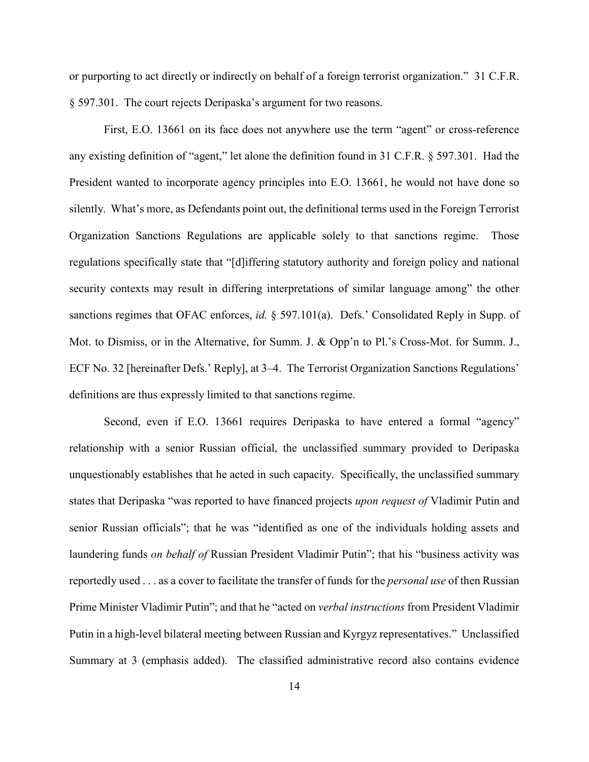or purporting to act directly or indirectly on behalf of a foreign terrorist organization." 31 C.F.R. § 597.301. The court rejects Deripaska's argument for two reasons.

First, E.O. 13661 on its face does not anywhere use the term "agent" or cross-reference any existing definition of "agent," let alone the definition found in 31 C.F.R. § 597.301. Had the President wanted to incorporate agency principles into E.O. 13661, he would not have done so silently. What's more, as Defendants point out, the definitional terms used in the Foreign Terrorist Organization Sanctions Regulations are applicable solely to that sanctions regime. Those regulations specifically state that "[d]iffering statutory authority and foreign policy and national security contexts may result in differing interpretations of similar language among" the other sanctions regimes that OFAC enforces, *id.* § 597.101(a). Defs.' Consolidated Reply in Supp. of Mot. to Dismiss, or in the Alternative, for Summ. J. & Opp'n to Pl.'s Cross-Mot. for Summ. J., ECF No. 32 [hereinafter Defs.' Reply], at 3–4. The Terrorist Organization Sanctions Regulations' definitions are thus expressly limited to that sanctions regime.

Second, even if E.O. 13661 requires Deripaska to have entered a formal "agency" relationship with a senior Russian official, the unclassified summary provided to Deripaska unquestionably establishes that he acted in such capacity. Specifically, the unclassified summary states that Deripaska "was reported to have financed projects *upon request of* Vladimir Putin and senior Russian officials"; that he was "identified as one of the individuals holding assets and laundering funds *on behalf of* Russian President Vladimir Putin"; that his "business activity was reportedly used . . . as a cover to facilitate the transfer of funds for the *personal use* of then Russian Prime Minister Vladimir Putin"; and that he "acted on *verbal instructions* from President Vladimir Putin in a high-level bilateral meeting between Russian and Kyrgyz representatives." Unclassified Summary at 3 (emphasis added). The classified administrative record also contains evidence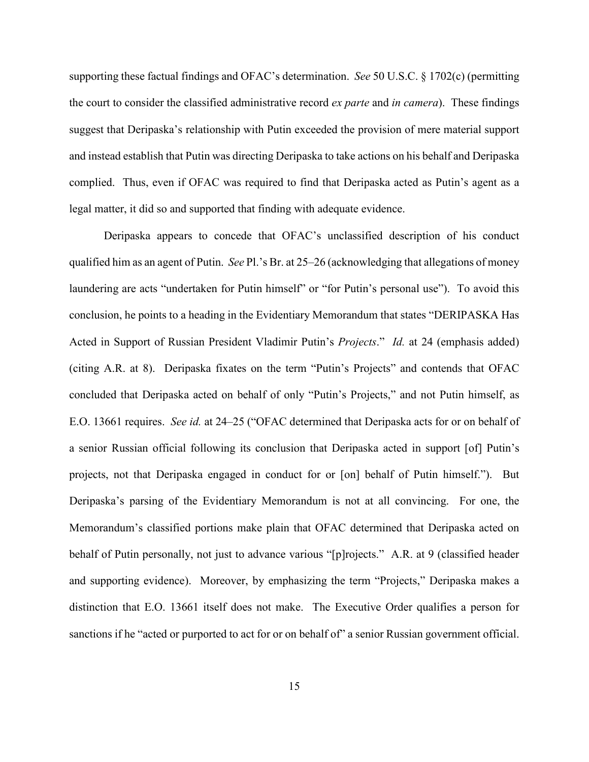supporting these factual findings and OFAC's determination. *See* 50 U.S.C. § 1702(c) (permitting the court to consider the classified administrative record *ex parte* and *in camera*). These findings suggest that Deripaska's relationship with Putin exceeded the provision of mere material support and instead establish that Putin was directing Deripaska to take actions on his behalf and Deripaska complied. Thus, even if OFAC was required to find that Deripaska acted as Putin's agent as a legal matter, it did so and supported that finding with adequate evidence.

Deripaska appears to concede that OFAC's unclassified description of his conduct qualified him as an agent of Putin. *See* Pl.'s Br. at 25–26 (acknowledging that allegations of money laundering are acts "undertaken for Putin himself" or "for Putin's personal use"). To avoid this conclusion, he points to a heading in the Evidentiary Memorandum that states "DERIPASKA Has Acted in Support of Russian President Vladimir Putin's *Projects*." *Id.* at 24 (emphasis added) (citing A.R. at 8). Deripaska fixates on the term "Putin's Projects" and contends that OFAC concluded that Deripaska acted on behalf of only "Putin's Projects," and not Putin himself, as E.O. 13661 requires. *See id.* at 24–25 ("OFAC determined that Deripaska acts for or on behalf of a senior Russian official following its conclusion that Deripaska acted in support [of] Putin's projects, not that Deripaska engaged in conduct for or [on] behalf of Putin himself."). But Deripaska's parsing of the Evidentiary Memorandum is not at all convincing. For one, the Memorandum's classified portions make plain that OFAC determined that Deripaska acted on behalf of Putin personally, not just to advance various "[p]rojects." A.R. at 9 (classified header and supporting evidence). Moreover, by emphasizing the term "Projects," Deripaska makes a distinction that E.O. 13661 itself does not make. The Executive Order qualifies a person for sanctions if he "acted or purported to act for or on behalf of" a senior Russian government official.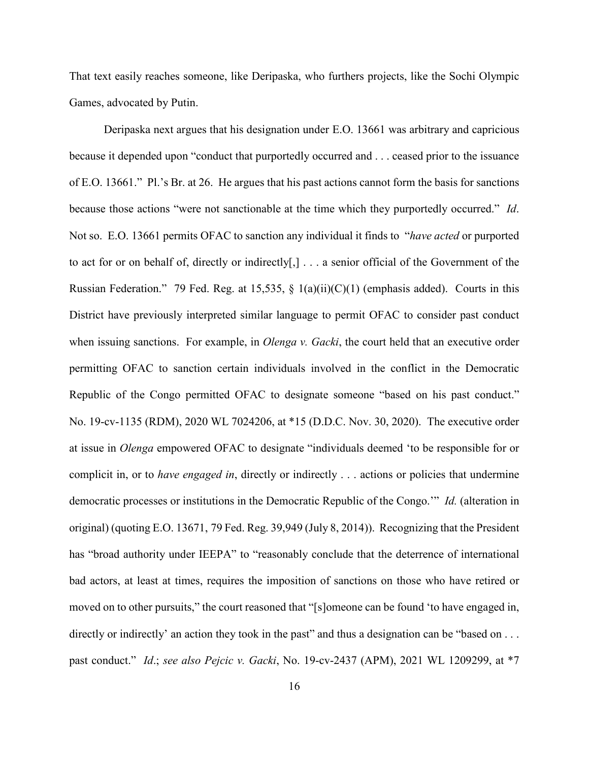That text easily reaches someone, like Deripaska, who furthers projects, like the Sochi Olympic Games, advocated by Putin.

Deripaska next argues that his designation under E.O. 13661 was arbitrary and capricious because it depended upon "conduct that purportedly occurred and . . . ceased prior to the issuance of E.O. 13661." Pl.'s Br. at 26. He argues that his past actions cannot form the basis for sanctions because those actions "were not sanctionable at the time which they purportedly occurred." *Id*. Not so. E.O. 13661 permits OFAC to sanction any individual it finds to "*have acted* or purported to act for or on behalf of, directly or indirectly[,] . . . a senior official of the Government of the Russian Federation." 79 Fed. Reg. at 15,535,  $\S$  1(a)(ii)(C)(1) (emphasis added). Courts in this District have previously interpreted similar language to permit OFAC to consider past conduct when issuing sanctions. For example, in *Olenga v. Gacki*, the court held that an executive order permitting OFAC to sanction certain individuals involved in the conflict in the Democratic Republic of the Congo permitted OFAC to designate someone "based on his past conduct." No. 19-cv-1135 (RDM), 2020 WL 7024206, at \*15 (D.D.C. Nov. 30, 2020). The executive order at issue in *Olenga* empowered OFAC to designate "individuals deemed 'to be responsible for or complicit in, or to *have engaged in*, directly or indirectly . . . actions or policies that undermine democratic processes or institutions in the Democratic Republic of the Congo.'" *Id.* (alteration in original) (quoting E.O. 13671, 79 Fed. Reg. 39,949 (July 8, 2014)). Recognizing that the President has "broad authority under IEEPA" to "reasonably conclude that the deterrence of international bad actors, at least at times, requires the imposition of sanctions on those who have retired or moved on to other pursuits," the court reasoned that "[s]omeone can be found 'to have engaged in, directly or indirectly' an action they took in the past" and thus a designation can be "based on ... past conduct." *Id*.; *see also Pejcic v. Gacki*, No. 19-cv-2437 (APM), 2021 WL 1209299, at \*7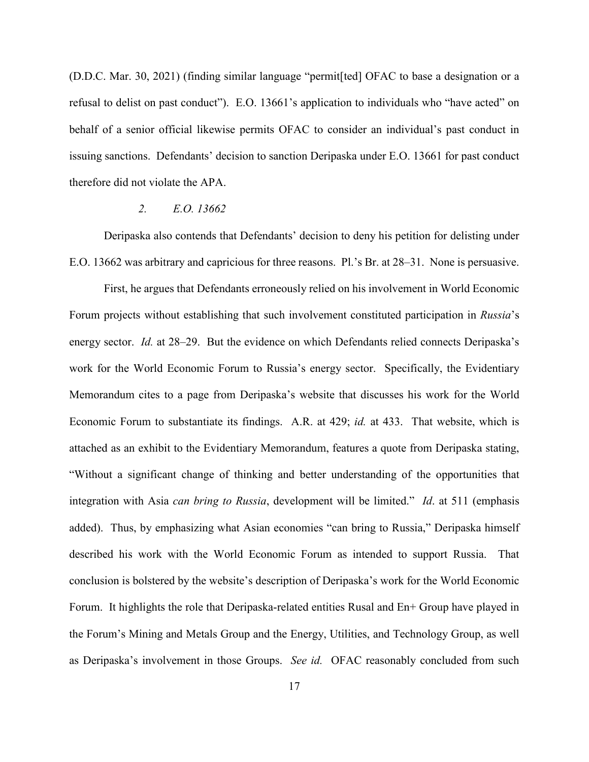(D.D.C. Mar. 30, 2021) (finding similar language "permit[ted] OFAC to base a designation or a refusal to delist on past conduct"). E.O. 13661's application to individuals who "have acted" on behalf of a senior official likewise permits OFAC to consider an individual's past conduct in issuing sanctions. Defendants' decision to sanction Deripaska under E.O. 13661 for past conduct therefore did not violate the APA.

# *2. E.O. 13662*

Deripaska also contends that Defendants' decision to deny his petition for delisting under E.O. 13662 was arbitrary and capricious for three reasons. Pl.'s Br. at 28–31. None is persuasive.

First, he argues that Defendants erroneously relied on his involvement in World Economic Forum projects without establishing that such involvement constituted participation in *Russia*'s energy sector. *Id.* at 28–29. But the evidence on which Defendants relied connects Deripaska's work for the World Economic Forum to Russia's energy sector. Specifically, the Evidentiary Memorandum cites to a page from Deripaska's website that discusses his work for the World Economic Forum to substantiate its findings. A.R. at 429; *id.* at 433. That website, which is attached as an exhibit to the Evidentiary Memorandum, features a quote from Deripaska stating, "Without a significant change of thinking and better understanding of the opportunities that integration with Asia *can bring to Russia*, development will be limited." *Id*. at 511 (emphasis added). Thus, by emphasizing what Asian economies "can bring to Russia," Deripaska himself described his work with the World Economic Forum as intended to support Russia. That conclusion is bolstered by the website's description of Deripaska's work for the World Economic Forum. It highlights the role that Deripaska-related entities Rusal and En+ Group have played in the Forum's Mining and Metals Group and the Energy, Utilities, and Technology Group, as well as Deripaska's involvement in those Groups. *See id.* OFAC reasonably concluded from such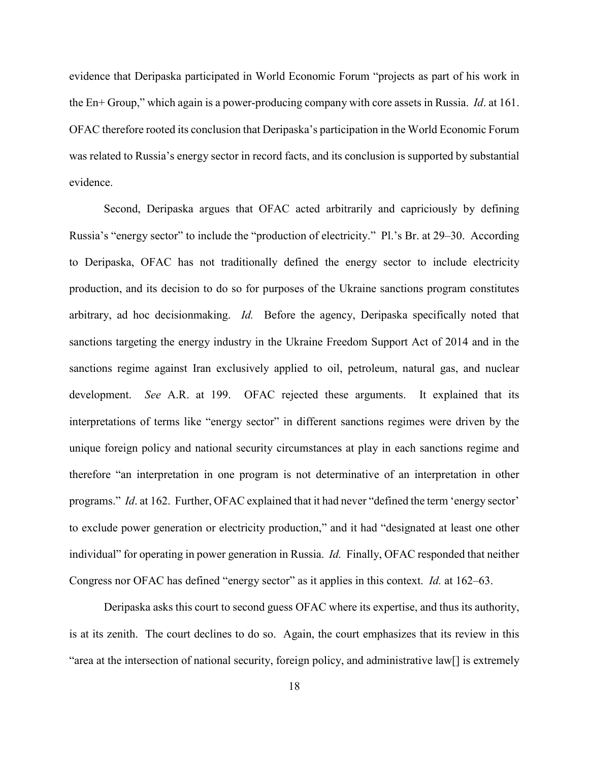evidence that Deripaska participated in World Economic Forum "projects as part of his work in the En+ Group," which again is a power-producing company with core assets in Russia. *Id*. at 161. OFAC therefore rooted its conclusion that Deripaska's participation in the World Economic Forum was related to Russia's energy sector in record facts, and its conclusion is supported by substantial evidence.

Second, Deripaska argues that OFAC acted arbitrarily and capriciously by defining Russia's "energy sector" to include the "production of electricity." Pl.'s Br. at 29–30. According to Deripaska, OFAC has not traditionally defined the energy sector to include electricity production, and its decision to do so for purposes of the Ukraine sanctions program constitutes arbitrary, ad hoc decisionmaking. *Id.* Before the agency, Deripaska specifically noted that sanctions targeting the energy industry in the Ukraine Freedom Support Act of 2014 and in the sanctions regime against Iran exclusively applied to oil, petroleum, natural gas, and nuclear development. *See* A.R. at 199. OFAC rejected these arguments. It explained that its interpretations of terms like "energy sector" in different sanctions regimes were driven by the unique foreign policy and national security circumstances at play in each sanctions regime and therefore "an interpretation in one program is not determinative of an interpretation in other programs." *Id*. at 162. Further, OFAC explained that it had never "defined the term 'energy sector' to exclude power generation or electricity production," and it had "designated at least one other individual" for operating in power generation in Russia. *Id.* Finally, OFAC responded that neither Congress nor OFAC has defined "energy sector" as it applies in this context. *Id.* at 162–63.

Deripaska asks this court to second guess OFAC where its expertise, and thus its authority, is at its zenith. The court declines to do so. Again, the court emphasizes that its review in this "area at the intersection of national security, foreign policy, and administrative law[] is extremely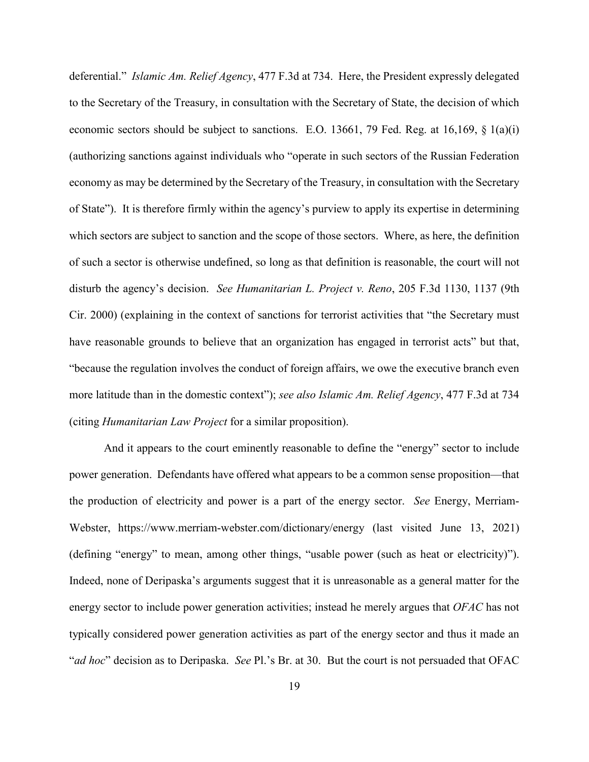deferential." *Islamic Am. Relief Agency*, 477 F.3d at 734. Here, the President expressly delegated to the Secretary of the Treasury, in consultation with the Secretary of State, the decision of which economic sectors should be subject to sanctions. E.O. 13661, 79 Fed. Reg. at 16,169, § 1(a)(i) (authorizing sanctions against individuals who "operate in such sectors of the Russian Federation economy as may be determined by the Secretary of the Treasury, in consultation with the Secretary of State"). It is therefore firmly within the agency's purview to apply its expertise in determining which sectors are subject to sanction and the scope of those sectors. Where, as here, the definition of such a sector is otherwise undefined, so long as that definition is reasonable, the court will not disturb the agency's decision. *See Humanitarian L. Project v. Reno*, 205 F.3d 1130, 1137 (9th Cir. 2000) (explaining in the context of sanctions for terrorist activities that "the Secretary must have reasonable grounds to believe that an organization has engaged in terrorist acts" but that, "because the regulation involves the conduct of foreign affairs, we owe the executive branch even more latitude than in the domestic context"); *see also Islamic Am. Relief Agency*, 477 F.3d at 734 (citing *Humanitarian Law Project* for a similar proposition).

And it appears to the court eminently reasonable to define the "energy" sector to include power generation. Defendants have offered what appears to be a common sense proposition—that the production of electricity and power is a part of the energy sector. *See* Energy, Merriam-Webster, https://www.merriam-webster.com/dictionary/energy (last visited June 13, 2021) (defining "energy" to mean, among other things, "usable power (such as heat or electricity)"). Indeed, none of Deripaska's arguments suggest that it is unreasonable as a general matter for the energy sector to include power generation activities; instead he merely argues that *OFAC* has not typically considered power generation activities as part of the energy sector and thus it made an "*ad hoc*" decision as to Deripaska. *See* Pl.'s Br. at 30. But the court is not persuaded that OFAC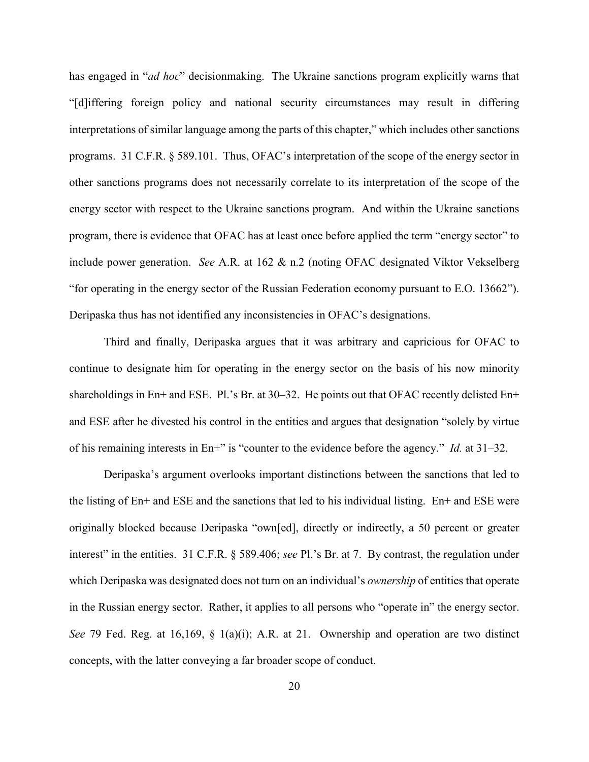has engaged in "*ad hoc*" decisionmaking. The Ukraine sanctions program explicitly warns that "[d]iffering foreign policy and national security circumstances may result in differing interpretations of similar language among the parts of this chapter," which includes other sanctions programs. 31 C.F.R. § 589.101. Thus, OFAC's interpretation of the scope of the energy sector in other sanctions programs does not necessarily correlate to its interpretation of the scope of the energy sector with respect to the Ukraine sanctions program. And within the Ukraine sanctions program, there is evidence that OFAC has at least once before applied the term "energy sector" to include power generation. *See* A.R. at 162 & n.2 (noting OFAC designated Viktor Vekselberg "for operating in the energy sector of the Russian Federation economy pursuant to E.O. 13662"). Deripaska thus has not identified any inconsistencies in OFAC's designations.

Third and finally, Deripaska argues that it was arbitrary and capricious for OFAC to continue to designate him for operating in the energy sector on the basis of his now minority shareholdings in En+ and ESE. Pl.'s Br. at 30–32. He points out that OFAC recently delisted En+ and ESE after he divested his control in the entities and argues that designation "solely by virtue of his remaining interests in En+" is "counter to the evidence before the agency." *Id.* at 31–32.

Deripaska's argument overlooks important distinctions between the sanctions that led to the listing of En+ and ESE and the sanctions that led to his individual listing. En+ and ESE were originally blocked because Deripaska "own[ed], directly or indirectly, a 50 percent or greater interest" in the entities. 31 C.F.R. § 589.406; *see* Pl.'s Br. at 7. By contrast, the regulation under which Deripaska was designated does not turn on an individual's *ownership* of entities that operate in the Russian energy sector. Rather, it applies to all persons who "operate in" the energy sector. *See* 79 Fed. Reg. at 16,169, § 1(a)(i); A.R. at 21. Ownership and operation are two distinct concepts, with the latter conveying a far broader scope of conduct.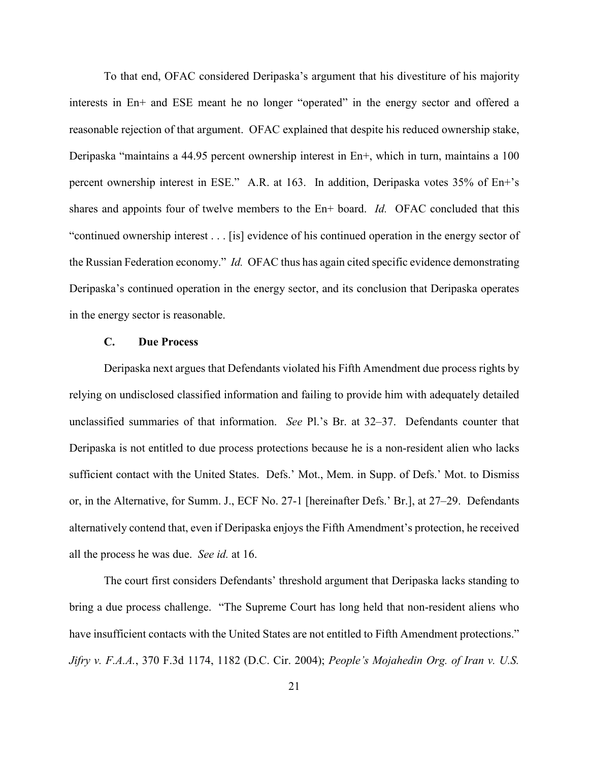To that end, OFAC considered Deripaska's argument that his divestiture of his majority interests in En+ and ESE meant he no longer "operated" in the energy sector and offered a reasonable rejection of that argument. OFAC explained that despite his reduced ownership stake, Deripaska "maintains a 44.95 percent ownership interest in En+, which in turn, maintains a 100 percent ownership interest in ESE." A.R. at 163. In addition, Deripaska votes 35% of En+'s shares and appoints four of twelve members to the En+ board. *Id.* OFAC concluded that this "continued ownership interest . . . [is] evidence of his continued operation in the energy sector of the Russian Federation economy." *Id.* OFAC thus has again cited specific evidence demonstrating Deripaska's continued operation in the energy sector, and its conclusion that Deripaska operates in the energy sector is reasonable.

### **C. Due Process**

Deripaska next argues that Defendants violated his Fifth Amendment due process rights by relying on undisclosed classified information and failing to provide him with adequately detailed unclassified summaries of that information. *See* Pl.'s Br. at 32–37. Defendants counter that Deripaska is not entitled to due process protections because he is a non-resident alien who lacks sufficient contact with the United States. Defs.' Mot., Mem. in Supp. of Defs.' Mot. to Dismiss or, in the Alternative, for Summ. J., ECF No. 27-1 [hereinafter Defs.' Br.], at 27–29. Defendants alternatively contend that, even if Deripaska enjoys the Fifth Amendment's protection, he received all the process he was due. *See id.* at 16.

The court first considers Defendants' threshold argument that Deripaska lacks standing to bring a due process challenge. "The Supreme Court has long held that non-resident aliens who have insufficient contacts with the United States are not entitled to Fifth Amendment protections." *Jifry v. F.A.A.*, 370 F.3d 1174, 1182 (D.C. Cir. 2004); *People's Mojahedin Org. of Iran v. U.S.*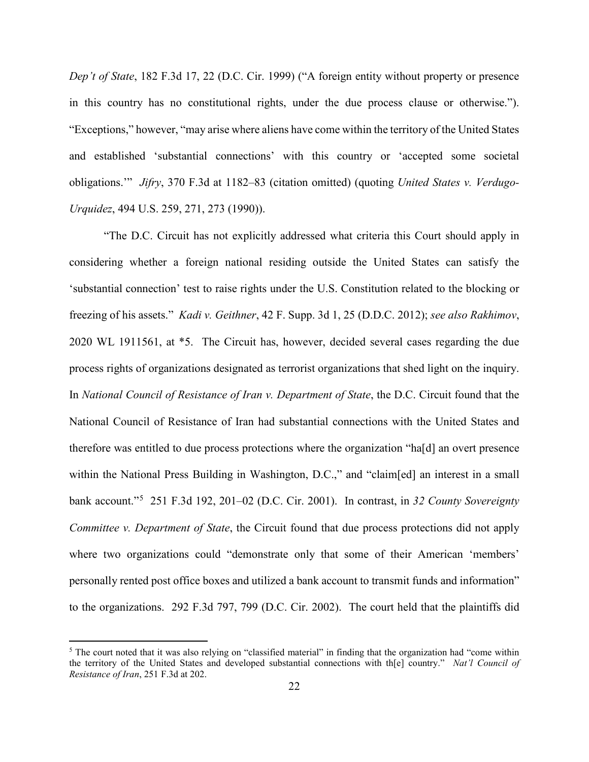*Dep't of State*, 182 F.3d 17, 22 (D.C. Cir. 1999) ("A foreign entity without property or presence in this country has no constitutional rights, under the due process clause or otherwise."). "Exceptions," however, "may arise where aliens have come within the territory of the United States and established 'substantial connections' with this country or 'accepted some societal obligations.'" *Jifry*, 370 F.3d at 1182–83 (citation omitted) (quoting *United States v. Verdugo-Urquidez*, 494 U.S. 259, 271, 273 (1990)).

"The D.C. Circuit has not explicitly addressed what criteria this Court should apply in considering whether a foreign national residing outside the United States can satisfy the 'substantial connection' test to raise rights under the U.S. Constitution related to the blocking or freezing of his assets." *Kadi v. Geithner*, 42 F. Supp. 3d 1, 25 (D.D.C. 2012); *see also Rakhimov*, 2020 WL 1911561, at \*5. The Circuit has, however, decided several cases regarding the due process rights of organizations designated as terrorist organizations that shed light on the inquiry. In *National Council of Resistance of Iran v. Department of State*, the D.C. Circuit found that the National Council of Resistance of Iran had substantial connections with the United States and therefore was entitled to due process protections where the organization "ha[d] an overt presence within the National Press Building in Washington, D.C.," and "claim[ed] an interest in a small bank account."<sup>5</sup> 251 F.3d 192, 201–02 (D.C. Cir. 2001). In contrast, in *32 County Sovereignty Committee v. Department of State*, the Circuit found that due process protections did not apply where two organizations could "demonstrate only that some of their American 'members' personally rented post office boxes and utilized a bank account to transmit funds and information" to the organizations. 292 F.3d 797, 799 (D.C. Cir. 2002). The court held that the plaintiffs did

l

 $5$  The court noted that it was also relying on "classified material" in finding that the organization had "come within the territory of the United States and developed substantial connections with th[e] country." *Nat'l Council of Resistance of Iran*, 251 F.3d at 202.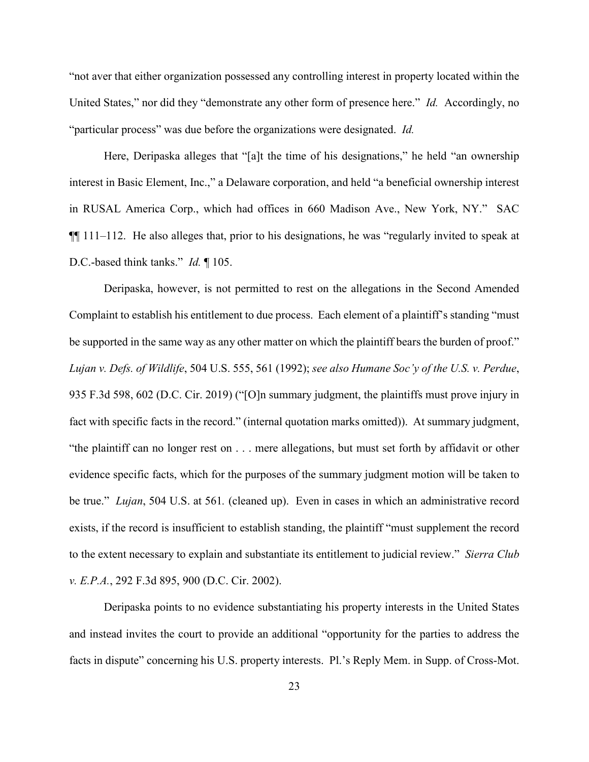"not aver that either organization possessed any controlling interest in property located within the United States," nor did they "demonstrate any other form of presence here." *Id.* Accordingly, no "particular process" was due before the organizations were designated. *Id.* 

Here, Deripaska alleges that "[a]t the time of his designations," he held "an ownership interest in Basic Element, Inc.," a Delaware corporation, and held "a beneficial ownership interest in RUSAL America Corp., which had offices in 660 Madison Ave., New York, NY." SAC  $\P$ [[ 111–112. He also alleges that, prior to his designations, he was "regularly invited to speak at D.C.-based think tanks." *Id.* ¶ 105.

Deripaska, however, is not permitted to rest on the allegations in the Second Amended Complaint to establish his entitlement to due process. Each element of a plaintiff's standing "must be supported in the same way as any other matter on which the plaintiff bears the burden of proof." *Lujan v. Defs. of Wildlife*, 504 U.S. 555, 561 (1992); *see also Humane Soc'y of the U.S. v. Perdue*, 935 F.3d 598, 602 (D.C. Cir. 2019) ("[O]n summary judgment, the plaintiffs must prove injury in fact with specific facts in the record." (internal quotation marks omitted)). At summary judgment, "the plaintiff can no longer rest on . . . mere allegations, but must set forth by affidavit or other evidence specific facts, which for the purposes of the summary judgment motion will be taken to be true." *Lujan*, 504 U.S. at 561*.* (cleaned up). Even in cases in which an administrative record exists, if the record is insufficient to establish standing, the plaintiff "must supplement the record to the extent necessary to explain and substantiate its entitlement to judicial review." *Sierra Club v. E.P.A.*, 292 F.3d 895, 900 (D.C. Cir. 2002).

Deripaska points to no evidence substantiating his property interests in the United States and instead invites the court to provide an additional "opportunity for the parties to address the facts in dispute" concerning his U.S. property interests. Pl.'s Reply Mem. in Supp. of Cross-Mot.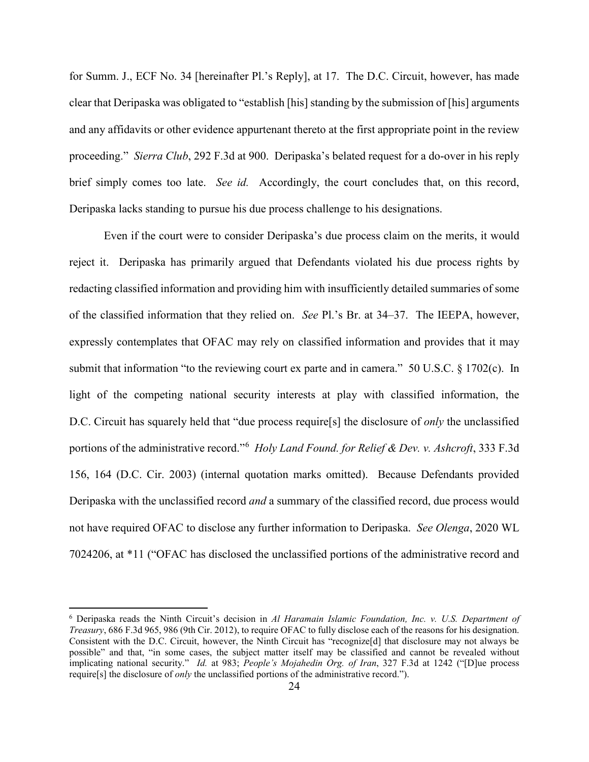for Summ. J., ECF No. 34 [hereinafter Pl.'s Reply], at 17. The D.C. Circuit, however, has made clear that Deripaska was obligated to "establish [his] standing by the submission of [his] arguments and any affidavits or other evidence appurtenant thereto at the first appropriate point in the review proceeding." *Sierra Club*, 292 F.3d at 900. Deripaska's belated request for a do-over in his reply brief simply comes too late. *See id.* Accordingly, the court concludes that, on this record, Deripaska lacks standing to pursue his due process challenge to his designations.

Even if the court were to consider Deripaska's due process claim on the merits, it would reject it. Deripaska has primarily argued that Defendants violated his due process rights by redacting classified information and providing him with insufficiently detailed summaries of some of the classified information that they relied on. *See* Pl.'s Br. at 34–37. The IEEPA, however, expressly contemplates that OFAC may rely on classified information and provides that it may submit that information "to the reviewing court ex parte and in camera." 50 U.S.C. § 1702(c). In light of the competing national security interests at play with classified information, the D.C. Circuit has squarely held that "due process require[s] the disclosure of *only* the unclassified portions of the administrative record."<sup>6</sup> *Holy Land Found. for Relief & Dev. v. Ashcroft*, 333 F.3d 156, 164 (D.C. Cir. 2003) (internal quotation marks omitted). Because Defendants provided Deripaska with the unclassified record *and* a summary of the classified record, due process would not have required OFAC to disclose any further information to Deripaska. *See Olenga*, 2020 WL 7024206, at \*11 ("OFAC has disclosed the unclassified portions of the administrative record and

l

<sup>6</sup> Deripaska reads the Ninth Circuit's decision in *Al Haramain Islamic Foundation, Inc. v. U.S. Department of Treasury*, 686 F.3d 965, 986 (9th Cir. 2012), to require OFAC to fully disclose each of the reasons for his designation. Consistent with the D.C. Circuit, however, the Ninth Circuit has "recognize[d] that disclosure may not always be possible" and that, "in some cases, the subject matter itself may be classified and cannot be revealed without implicating national security." *Id.* at 983; *People's Mojahedin Org. of Iran*, 327 F.3d at 1242 ("[D]ue process require[s] the disclosure of *only* the unclassified portions of the administrative record.").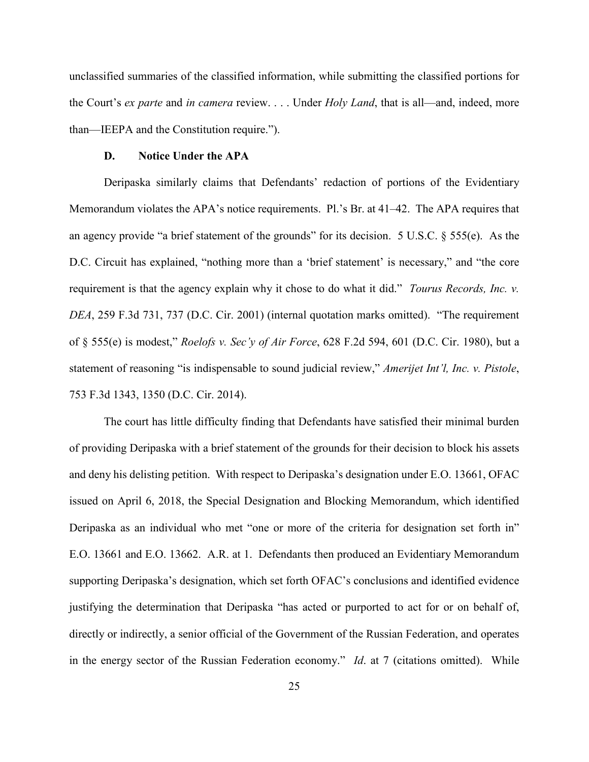unclassified summaries of the classified information, while submitting the classified portions for the Court's *ex parte* and *in camera* review. . . . Under *Holy Land*, that is all—and, indeed, more than—IEEPA and the Constitution require.").

# **D. Notice Under the APA**

Deripaska similarly claims that Defendants' redaction of portions of the Evidentiary Memorandum violates the APA's notice requirements. Pl.'s Br. at 41–42. The APA requires that an agency provide "a brief statement of the grounds" for its decision. 5 U.S.C. § 555(e). As the D.C. Circuit has explained, "nothing more than a 'brief statement' is necessary," and "the core requirement is that the agency explain why it chose to do what it did." *Tourus Records, Inc. v. DEA*, 259 F.3d 731, 737 (D.C. Cir. 2001) (internal quotation marks omitted). "The requirement of § 555(e) is modest," *Roelofs v. Sec'y of Air Force*, 628 F.2d 594, 601 (D.C. Cir. 1980), but a statement of reasoning "is indispensable to sound judicial review," *Amerijet Int'l, Inc. v. Pistole*, 753 F.3d 1343, 1350 (D.C. Cir. 2014).

The court has little difficulty finding that Defendants have satisfied their minimal burden of providing Deripaska with a brief statement of the grounds for their decision to block his assets and deny his delisting petition. With respect to Deripaska's designation under E.O. 13661, OFAC issued on April 6, 2018, the Special Designation and Blocking Memorandum, which identified Deripaska as an individual who met "one or more of the criteria for designation set forth in" E.O. 13661 and E.O. 13662. A.R. at 1. Defendants then produced an Evidentiary Memorandum supporting Deripaska's designation, which set forth OFAC's conclusions and identified evidence justifying the determination that Deripaska "has acted or purported to act for or on behalf of, directly or indirectly, a senior official of the Government of the Russian Federation, and operates in the energy sector of the Russian Federation economy." *Id*. at 7 (citations omitted). While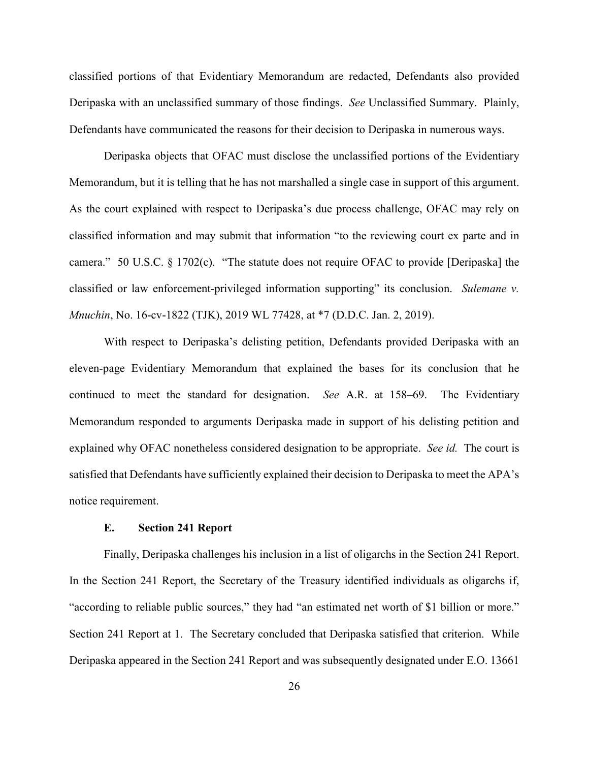classified portions of that Evidentiary Memorandum are redacted, Defendants also provided Deripaska with an unclassified summary of those findings. *See* Unclassified Summary. Plainly, Defendants have communicated the reasons for their decision to Deripaska in numerous ways.

Deripaska objects that OFAC must disclose the unclassified portions of the Evidentiary Memorandum, but it is telling that he has not marshalled a single case in support of this argument. As the court explained with respect to Deripaska's due process challenge, OFAC may rely on classified information and may submit that information "to the reviewing court ex parte and in camera." 50 U.S.C. § 1702(c). "The statute does not require OFAC to provide [Deripaska] the classified or law enforcement-privileged information supporting" its conclusion. *Sulemane v. Mnuchin*, No. 16-cv-1822 (TJK), 2019 WL 77428, at \*7 (D.D.C. Jan. 2, 2019).

With respect to Deripaska's delisting petition, Defendants provided Deripaska with an eleven-page Evidentiary Memorandum that explained the bases for its conclusion that he continued to meet the standard for designation. *See* A.R. at 158–69. The Evidentiary Memorandum responded to arguments Deripaska made in support of his delisting petition and explained why OFAC nonetheless considered designation to be appropriate. *See id.* The court is satisfied that Defendants have sufficiently explained their decision to Deripaska to meet the APA's notice requirement.

# **E. Section 241 Report**

Finally, Deripaska challenges his inclusion in a list of oligarchs in the Section 241 Report. In the Section 241 Report, the Secretary of the Treasury identified individuals as oligarchs if, "according to reliable public sources," they had "an estimated net worth of \$1 billion or more." Section 241 Report at 1. The Secretary concluded that Deripaska satisfied that criterion. While Deripaska appeared in the Section 241 Report and was subsequently designated under E.O. 13661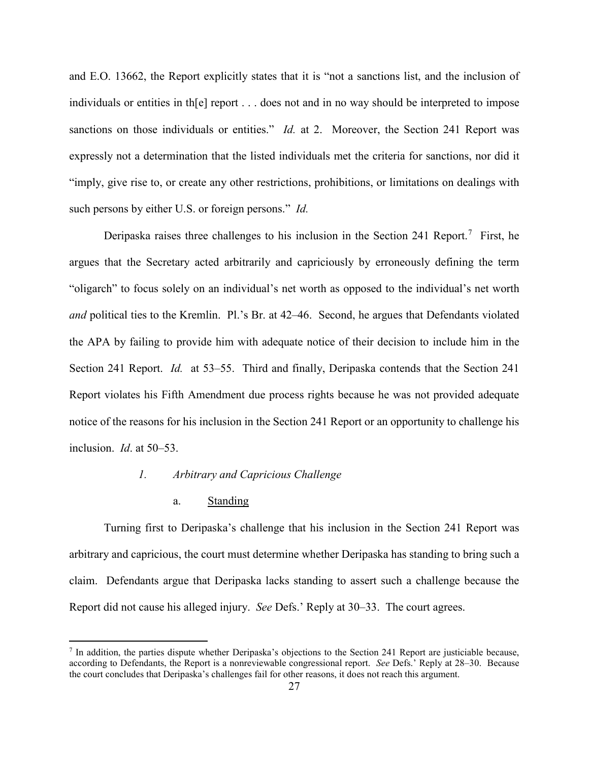and E.O. 13662, the Report explicitly states that it is "not a sanctions list, and the inclusion of individuals or entities in th[e] report . . . does not and in no way should be interpreted to impose sanctions on those individuals or entities." *Id.* at 2. Moreover, the Section 241 Report was expressly not a determination that the listed individuals met the criteria for sanctions, nor did it "imply, give rise to, or create any other restrictions, prohibitions, or limitations on dealings with such persons by either U.S. or foreign persons." *Id.*

Deripaska raises three challenges to his inclusion in the Section 241 Report.<sup>7</sup> First, he argues that the Secretary acted arbitrarily and capriciously by erroneously defining the term "oligarch" to focus solely on an individual's net worth as opposed to the individual's net worth *and* political ties to the Kremlin. Pl.'s Br. at 42–46. Second, he argues that Defendants violated the APA by failing to provide him with adequate notice of their decision to include him in the Section 241 Report. *Id.* at 53–55. Third and finally, Deripaska contends that the Section 241 Report violates his Fifth Amendment due process rights because he was not provided adequate notice of the reasons for his inclusion in the Section 241 Report or an opportunity to challenge his inclusion. *Id*. at 50–53.

### *1. Arbitrary and Capricious Challenge*

### a. Standing

l

Turning first to Deripaska's challenge that his inclusion in the Section 241 Report was arbitrary and capricious, the court must determine whether Deripaska has standing to bring such a claim. Defendants argue that Deripaska lacks standing to assert such a challenge because the Report did not cause his alleged injury. *See* Defs.' Reply at 30–33. The court agrees.

<sup>7</sup> In addition, the parties dispute whether Deripaska's objections to the Section 241 Report are justiciable because, according to Defendants, the Report is a nonreviewable congressional report. *See* Defs.' Reply at 28–30. Because the court concludes that Deripaska's challenges fail for other reasons, it does not reach this argument.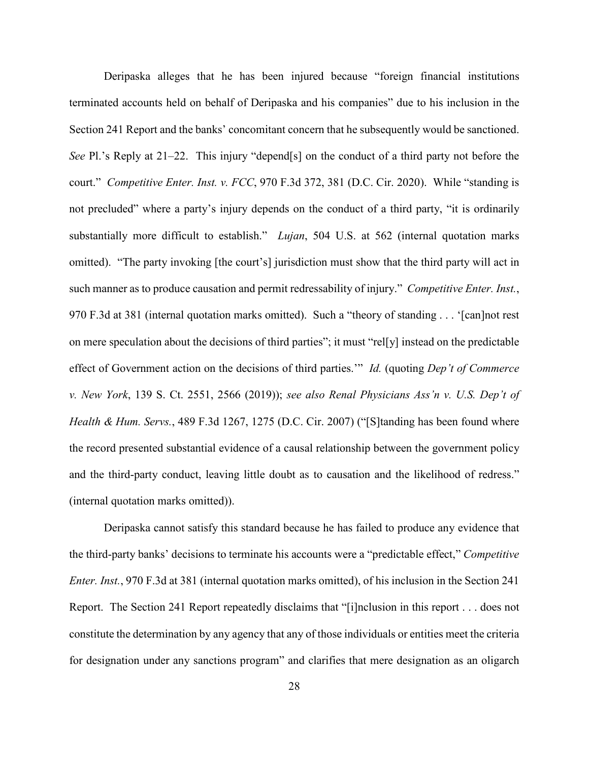Deripaska alleges that he has been injured because "foreign financial institutions terminated accounts held on behalf of Deripaska and his companies" due to his inclusion in the Section 241 Report and the banks' concomitant concern that he subsequently would be sanctioned. *See* Pl.'s Reply at 21–22. This injury "depend[s] on the conduct of a third party not before the court." *Competitive Enter. Inst. v. FCC*, 970 F.3d 372, 381 (D.C. Cir. 2020). While "standing is not precluded" where a party's injury depends on the conduct of a third party, "it is ordinarily substantially more difficult to establish." *Lujan*, 504 U.S. at 562 (internal quotation marks omitted). "The party invoking [the court's] jurisdiction must show that the third party will act in such manner as to produce causation and permit redressability of injury." *Competitive Enter. Inst.*, 970 F.3d at 381 (internal quotation marks omitted). Such a "theory of standing . . . '[can]not rest on mere speculation about the decisions of third parties"; it must "rel[y] instead on the predictable effect of Government action on the decisions of third parties.'" *Id.* (quoting *Dep't of Commerce v. New York*, 139 S. Ct. 2551, 2566 (2019)); *see also Renal Physicians Ass'n v. U.S. Dep't of Health & Hum. Servs.*, 489 F.3d 1267, 1275 (D.C. Cir. 2007) ("[S]tanding has been found where the record presented substantial evidence of a causal relationship between the government policy and the third-party conduct, leaving little doubt as to causation and the likelihood of redress." (internal quotation marks omitted)).

Deripaska cannot satisfy this standard because he has failed to produce any evidence that the third-party banks' decisions to terminate his accounts were a "predictable effect," *Competitive Enter. Inst.*, 970 F.3d at 381 (internal quotation marks omitted), of his inclusion in the Section 241 Report. The Section 241 Report repeatedly disclaims that "[i]nclusion in this report . . . does not constitute the determination by any agency that any of those individuals or entities meet the criteria for designation under any sanctions program" and clarifies that mere designation as an oligarch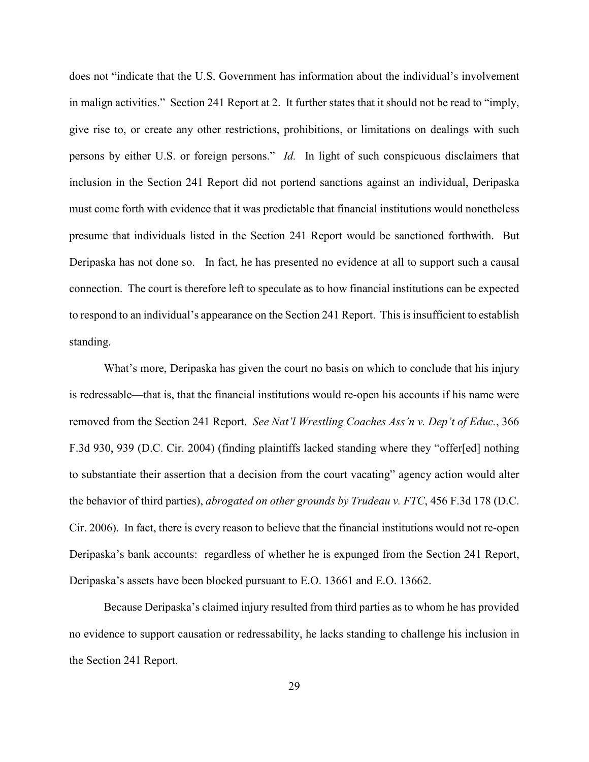does not "indicate that the U.S. Government has information about the individual's involvement in malign activities." Section 241 Report at 2. It further states that it should not be read to "imply, give rise to, or create any other restrictions, prohibitions, or limitations on dealings with such persons by either U.S. or foreign persons." *Id.* In light of such conspicuous disclaimers that inclusion in the Section 241 Report did not portend sanctions against an individual, Deripaska must come forth with evidence that it was predictable that financial institutions would nonetheless presume that individuals listed in the Section 241 Report would be sanctioned forthwith. But Deripaska has not done so. In fact, he has presented no evidence at all to support such a causal connection. The court is therefore left to speculate as to how financial institutions can be expected to respond to an individual's appearance on the Section 241 Report. This is insufficient to establish standing.

What's more, Deripaska has given the court no basis on which to conclude that his injury is redressable—that is, that the financial institutions would re-open his accounts if his name were removed from the Section 241 Report. *See Nat'l Wrestling Coaches Ass'n v. Dep't of Educ.*, 366 F.3d 930, 939 (D.C. Cir. 2004) (finding plaintiffs lacked standing where they "offer[ed] nothing to substantiate their assertion that a decision from the court vacating" agency action would alter the behavior of third parties), *abrogated on other grounds by Trudeau v. FTC*, 456 F.3d 178 (D.C. Cir. 2006). In fact, there is every reason to believe that the financial institutions would not re-open Deripaska's bank accounts: regardless of whether he is expunged from the Section 241 Report, Deripaska's assets have been blocked pursuant to E.O. 13661 and E.O. 13662.

Because Deripaska's claimed injury resulted from third parties as to whom he has provided no evidence to support causation or redressability, he lacks standing to challenge his inclusion in the Section 241 Report.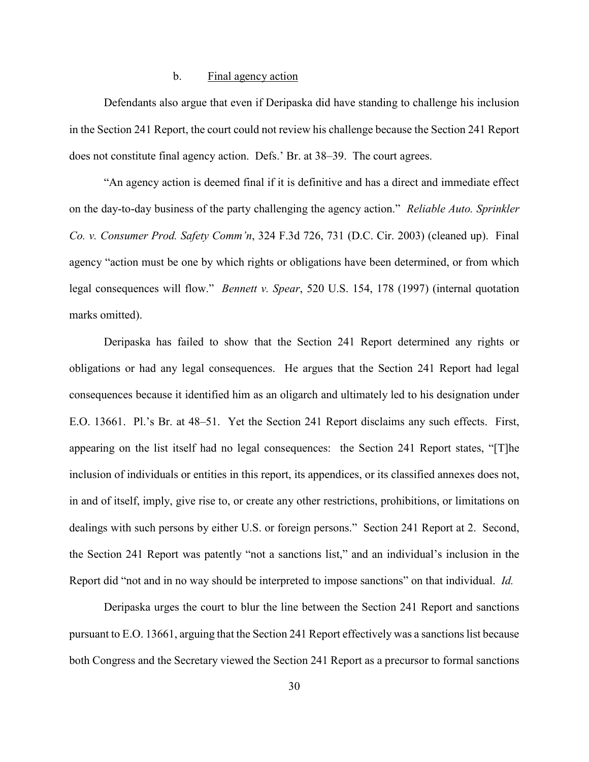# b. Final agency action

Defendants also argue that even if Deripaska did have standing to challenge his inclusion in the Section 241 Report, the court could not review his challenge because the Section 241 Report does not constitute final agency action. Defs.' Br. at 38–39. The court agrees.

"An agency action is deemed final if it is definitive and has a direct and immediate effect on the day-to-day business of the party challenging the agency action." *Reliable Auto. Sprinkler Co. v. Consumer Prod. Safety Comm'n*, 324 F.3d 726, 731 (D.C. Cir. 2003) (cleaned up). Final agency "action must be one by which rights or obligations have been determined, or from which legal consequences will flow." *Bennett v. Spear*, 520 U.S. 154, 178 (1997) (internal quotation marks omitted).

Deripaska has failed to show that the Section 241 Report determined any rights or obligations or had any legal consequences. He argues that the Section 241 Report had legal consequences because it identified him as an oligarch and ultimately led to his designation under E.O. 13661. Pl.'s Br. at 48–51. Yet the Section 241 Report disclaims any such effects. First, appearing on the list itself had no legal consequences: the Section 241 Report states, "[T]he inclusion of individuals or entities in this report, its appendices, or its classified annexes does not, in and of itself, imply, give rise to, or create any other restrictions, prohibitions, or limitations on dealings with such persons by either U.S. or foreign persons." Section 241 Report at 2. Second, the Section 241 Report was patently "not a sanctions list," and an individual's inclusion in the Report did "not and in no way should be interpreted to impose sanctions" on that individual. *Id.* 

Deripaska urges the court to blur the line between the Section 241 Report and sanctions pursuant to E.O. 13661, arguing that the Section 241 Report effectively was a sanctions list because both Congress and the Secretary viewed the Section 241 Report as a precursor to formal sanctions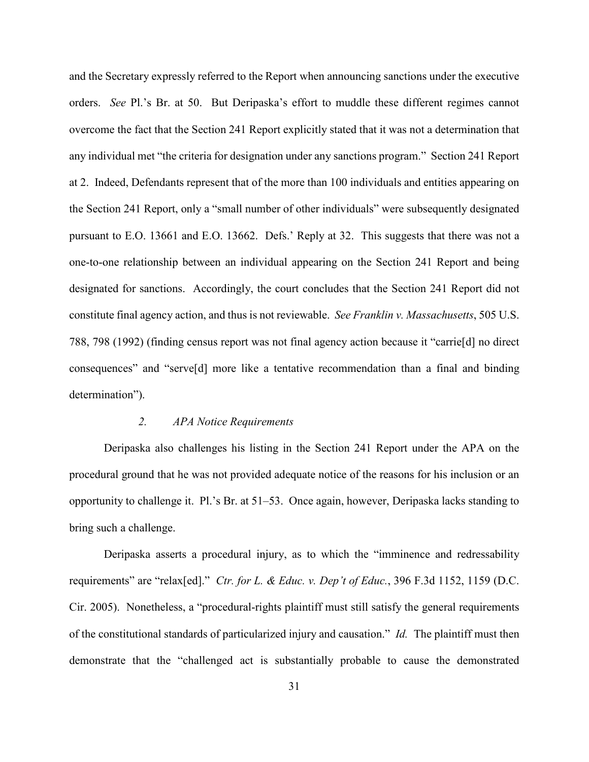and the Secretary expressly referred to the Report when announcing sanctions under the executive orders. *See* Pl.'s Br. at 50. But Deripaska's effort to muddle these different regimes cannot overcome the fact that the Section 241 Report explicitly stated that it was not a determination that any individual met "the criteria for designation under any sanctions program." Section 241 Report at 2. Indeed, Defendants represent that of the more than 100 individuals and entities appearing on the Section 241 Report, only a "small number of other individuals" were subsequently designated pursuant to E.O. 13661 and E.O. 13662. Defs.' Reply at 32. This suggests that there was not a one-to-one relationship between an individual appearing on the Section 241 Report and being designated for sanctions. Accordingly, the court concludes that the Section 241 Report did not constitute final agency action, and thus is not reviewable. *See Franklin v. Massachusetts*, 505 U.S. 788, 798 (1992) (finding census report was not final agency action because it "carrie[d] no direct consequences" and "serve[d] more like a tentative recommendation than a final and binding determination").

# *2. APA Notice Requirements*

Deripaska also challenges his listing in the Section 241 Report under the APA on the procedural ground that he was not provided adequate notice of the reasons for his inclusion or an opportunity to challenge it. Pl.'s Br. at 51–53. Once again, however, Deripaska lacks standing to bring such a challenge.

Deripaska asserts a procedural injury, as to which the "imminence and redressability requirements" are "relax[ed]." *Ctr. for L. & Educ. v. Dep't of Educ.*, 396 F.3d 1152, 1159 (D.C. Cir. 2005). Nonetheless, a "procedural-rights plaintiff must still satisfy the general requirements of the constitutional standards of particularized injury and causation." *Id.* The plaintiff must then demonstrate that the "challenged act is substantially probable to cause the demonstrated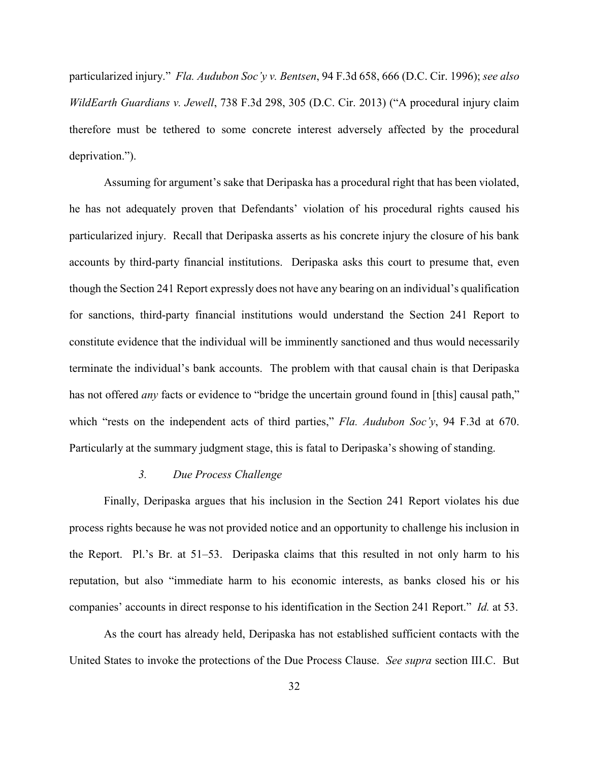particularized injury." *Fla. Audubon Soc'y v. Bentsen*, 94 F.3d 658, 666 (D.C. Cir. 1996); *see also WildEarth Guardians v. Jewell*, 738 F.3d 298, 305 (D.C. Cir. 2013) ("A procedural injury claim therefore must be tethered to some concrete interest adversely affected by the procedural deprivation.").

Assuming for argument's sake that Deripaska has a procedural right that has been violated, he has not adequately proven that Defendants' violation of his procedural rights caused his particularized injury. Recall that Deripaska asserts as his concrete injury the closure of his bank accounts by third-party financial institutions. Deripaska asks this court to presume that, even though the Section 241 Report expressly does not have any bearing on an individual's qualification for sanctions, third-party financial institutions would understand the Section 241 Report to constitute evidence that the individual will be imminently sanctioned and thus would necessarily terminate the individual's bank accounts. The problem with that causal chain is that Deripaska has not offered *any* facts or evidence to "bridge the uncertain ground found in [this] causal path," which "rests on the independent acts of third parties," *Fla. Audubon Soc'y*, 94 F.3d at 670. Particularly at the summary judgment stage, this is fatal to Deripaska's showing of standing.

### *3. Due Process Challenge*

Finally, Deripaska argues that his inclusion in the Section 241 Report violates his due process rights because he was not provided notice and an opportunity to challenge his inclusion in the Report. Pl.'s Br. at 51–53. Deripaska claims that this resulted in not only harm to his reputation, but also "immediate harm to his economic interests, as banks closed his or his companies' accounts in direct response to his identification in the Section 241 Report." *Id.* at 53.

As the court has already held, Deripaska has not established sufficient contacts with the United States to invoke the protections of the Due Process Clause. *See supra* section III.C. But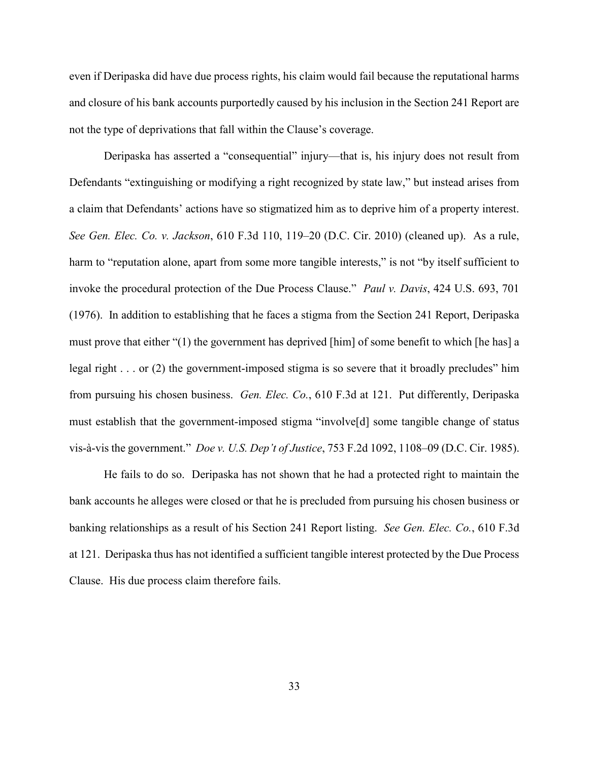even if Deripaska did have due process rights, his claim would fail because the reputational harms and closure of his bank accounts purportedly caused by his inclusion in the Section 241 Report are not the type of deprivations that fall within the Clause's coverage.

Deripaska has asserted a "consequential" injury—that is, his injury does not result from Defendants "extinguishing or modifying a right recognized by state law," but instead arises from a claim that Defendants' actions have so stigmatized him as to deprive him of a property interest. *See Gen. Elec. Co. v. Jackson*, 610 F.3d 110, 119–20 (D.C. Cir. 2010) (cleaned up). As a rule, harm to "reputation alone, apart from some more tangible interests," is not "by itself sufficient to invoke the procedural protection of the Due Process Clause." *Paul v. Davis*, 424 U.S. 693, 701 (1976). In addition to establishing that he faces a stigma from the Section 241 Report, Deripaska must prove that either "(1) the government has deprived [him] of some benefit to which [he has] a legal right . . . or (2) the government-imposed stigma is so severe that it broadly precludes" him from pursuing his chosen business. *Gen. Elec. Co.*, 610 F.3d at 121. Put differently, Deripaska must establish that the government-imposed stigma "involve[d] some tangible change of status vis-à-vis the government." *Doe v. U.S. Dep't of Justice*, 753 F.2d 1092, 1108–09 (D.C. Cir. 1985).

He fails to do so. Deripaska has not shown that he had a protected right to maintain the bank accounts he alleges were closed or that he is precluded from pursuing his chosen business or banking relationships as a result of his Section 241 Report listing. *See Gen. Elec. Co.*, 610 F.3d at 121. Deripaska thus has not identified a sufficient tangible interest protected by the Due Process Clause. His due process claim therefore fails.